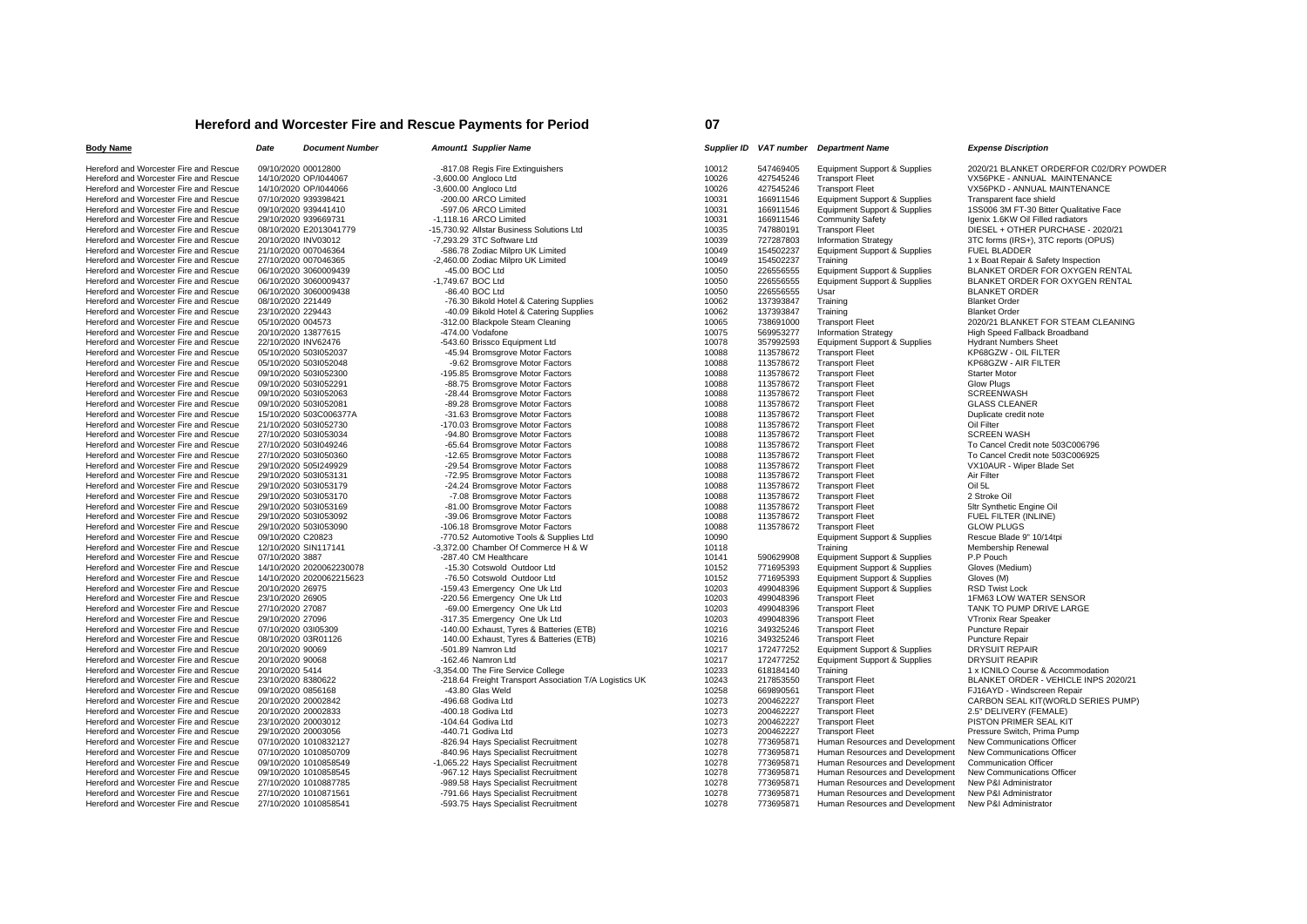## **Hereford and Worcester Fire and Rescue Payments for Period**

| <b>Body Name</b>                       | Date                | <b>Document Number</b>   | <b>Amount1 Supplier Name</b> |                                                        |       |                        | Supplier ID VAT number Department Name           | <b>Expense Discription</b>              |
|----------------------------------------|---------------------|--------------------------|------------------------------|--------------------------------------------------------|-------|------------------------|--------------------------------------------------|-----------------------------------------|
| Hereford and Worcester Fire and Rescue | 09/10/2020 00012800 |                          |                              | -817.08 Regis Fire Extinguishers                       | 10012 | 547469405              | <b>Equipment Support &amp; Supplies</b>          | 2020/21 BLANKET ORDERFOR C02/DRY POWDER |
| Hereford and Worcester Fire and Rescue |                     | 14/10/2020 OP/I044067    | -3,600.00 Angloco Ltd        |                                                        | 10026 | 427545246              | <b>Transport Fleet</b>                           | VX56PKE - ANNUAL MAINTENANCE            |
| Hereford and Worcester Fire and Rescue |                     | 14/10/2020 OP/I044066    | -3,600.00 Angloco Ltd        |                                                        | 10026 | 427545246              | <b>Transport Fleet</b>                           | VX56PKD - ANNUAL MAINTENANCE            |
| Hereford and Worcester Fire and Rescue |                     | 07/10/2020 939398421     | -200.00 ARCO Limited         |                                                        | 10031 | 166911546              | Equipment Support & Supplies                     | Transparent face shield                 |
| Hereford and Worcester Fire and Rescue |                     | 09/10/2020 939441410     | -597.06 ARCO Limited         |                                                        | 10031 | 166911546              | Equipment Support & Supplies                     | 1SS006 3M FT-30 Bitter Qualitative Face |
| Hereford and Worcester Fire and Rescue |                     | 29/10/2020 939669731     | -1,118.16 ARCO Limited       |                                                        | 10031 | 166911546              | <b>Community Safety</b>                          | Igenix 1.6KW Oil Filled radiators       |
| Hereford and Worcester Fire and Rescue |                     | 08/10/2020 E2013041779   |                              | -15,730.92 Allstar Business Solutions Ltd              | 10035 | 747880191              | <b>Transport Fleet</b>                           | DIESEL + OTHER PURCHASE - 2020/21       |
| Hereford and Worcester Fire and Rescue | 20/10/2020 INV03012 |                          | -7,293.29 3TC Software Ltd   |                                                        | 10039 | 727287803              | <b>Information Strategy</b>                      | 3TC forms (IRS+), 3TC reports (OPUS)    |
| Hereford and Worcester Fire and Rescue |                     | 21/10/2020 007046364     |                              | -586.78 Zodiac Milpro UK Limited                       | 10049 | 154502237              | Equipment Support & Supplies                     | <b>FUEL BLADDER</b>                     |
| Hereford and Worcester Fire and Rescue |                     | 27/10/2020 007046365     |                              | -2,460.00 Zodiac Milpro UK Limited                     | 10049 | 154502237              | Training                                         | 1 x Boat Repair & Safety Inspection     |
| Hereford and Worcester Fire and Rescue |                     | 06/10/2020 3060009439    | -45.00 BOC Ltd               |                                                        | 10050 | 226556555              | Equipment Support & Supplies                     | BLANKET ORDER FOR OXYGEN RENTAL         |
| Hereford and Worcester Fire and Rescue |                     | 06/10/2020 3060009437    | -1.749.67 BOC Ltd            |                                                        | 10050 | 226556555              | Equipment Support & Supplies                     | BLANKET ORDER FOR OXYGEN RENTAL         |
| Hereford and Worcester Fire and Rescue |                     | 06/10/2020 3060009438    | -86.40 BOC Ltd               |                                                        | 10050 | 226556555              | Usar                                             | <b>BLANKET ORDER</b>                    |
| Hereford and Worcester Fire and Rescue | 08/10/2020 221449   |                          |                              | -76.30 Bikold Hotel & Catering Supplies                | 10062 | 137393847              | Training                                         | <b>Blanket Order</b>                    |
| Hereford and Worcester Fire and Rescue | 23/10/2020 229443   |                          |                              | -40.09 Bikold Hotel & Catering Supplies                | 10062 | 137393847              | Training                                         | <b>Blanket Order</b>                    |
| Hereford and Worcester Fire and Rescue | 05/10/2020 004573   |                          |                              | -312.00 Blackpole Steam Cleaning                       | 10065 | 738691000              | <b>Transport Fleet</b>                           | 2020/21 BLANKET FOR STEAM CLEANING      |
| Hereford and Worcester Fire and Rescue | 20/10/2020 13877615 |                          | -474.00 Vodafone             |                                                        | 10075 | 569953277              | <b>Information Strategy</b>                      | High Speed Fallback Broadband           |
| Hereford and Worcester Fire and Rescue | 22/10/2020 INV62476 |                          |                              | -543.60 Brissco Equipment Ltd                          | 10078 | 357992593              | Equipment Support & Supplies                     | <b>Hydrant Numbers Sheet</b>            |
| Hereford and Worcester Fire and Rescue |                     | 05/10/2020 503l052037    |                              | -45.94 Bromsgrove Motor Factors                        | 10088 | 113578672              | <b>Transport Fleet</b>                           | KP68GZW - OIL FILTER                    |
| Hereford and Worcester Fire and Rescue |                     | 05/10/2020 503l052048    |                              | -9.62 Bromsgrove Motor Factors                         | 10088 | 113578672              | <b>Transport Fleet</b>                           | KP68GZW - AIR FILTER                    |
| Hereford and Worcester Fire and Rescue |                     | 09/10/2020 503l052300    |                              | -195.85 Bromsgrove Motor Factors                       | 10088 | 113578672              | <b>Transport Fleet</b>                           | <b>Starter Motor</b>                    |
| Hereford and Worcester Fire and Rescue |                     | 09/10/2020 503l052291    |                              | -88.75 Bromsgrove Motor Factors                        | 10088 | 113578672              | <b>Transport Fleet</b>                           | <b>Glow Plugs</b>                       |
| Hereford and Worcester Fire and Rescue |                     | 09/10/2020 503l052063    |                              | -28.44 Bromsgrove Motor Factors                        | 10088 | 113578672              | <b>Transport Fleet</b>                           | <b>SCREENWASH</b>                       |
| Hereford and Worcester Fire and Rescue |                     | 09/10/2020 503l052081    |                              | -89.28 Bromsgrove Motor Factors                        | 10088 | 113578672              | <b>Transport Fleet</b>                           | <b>GLASS CLEANER</b>                    |
| Hereford and Worcester Fire and Rescue |                     | 15/10/2020 503C006377A   |                              | -31.63 Bromsgrove Motor Factors                        | 10088 | 113578672              | <b>Transport Fleet</b>                           | Duplicate credit note                   |
| Hereford and Worcester Fire and Rescue |                     | 21/10/2020 503l052730    |                              | -170.03 Bromsgrove Motor Factors                       | 10088 | 113578672              | <b>Transport Fleet</b>                           | Oil Filter                              |
| Hereford and Worcester Fire and Rescue |                     | 27/10/2020 503l053034    |                              | -94.80 Bromsgrove Motor Factors                        | 10088 | 113578672              | <b>Transport Fleet</b>                           | <b>SCREEN WASH</b>                      |
| Hereford and Worcester Fire and Rescue |                     | 27/10/2020 503l049246    |                              | -65.64 Bromsgrove Motor Factors                        | 10088 | 113578672              | <b>Transport Fleet</b>                           | To Cancel Credit note 503C006796        |
| Hereford and Worcester Fire and Rescue |                     | 27/10/2020 503l050360    |                              | -12.65 Bromsgrove Motor Factors                        | 10088 | 113578672              | <b>Transport Fleet</b>                           | To Cancel Credit note 503C006925        |
| Hereford and Worcester Fire and Rescue |                     | 29/10/2020 505l249929    |                              | -29.54 Bromsgrove Motor Factors                        | 10088 | 113578672              | <b>Transport Fleet</b>                           | VX10AUR - Wiper Blade Set               |
| Hereford and Worcester Fire and Rescue |                     | 29/10/2020 503l053131    |                              | -72.95 Bromsgrove Motor Factors                        | 10088 | 113578672              | <b>Transport Fleet</b>                           | Air Filter                              |
| Hereford and Worcester Fire and Rescue |                     | 29/10/2020 503l053179    |                              | -24.24 Bromsgrove Motor Factors                        | 10088 | 113578672              | <b>Transport Fleet</b>                           | Oil 5L                                  |
| Hereford and Worcester Fire and Rescue |                     | 29/10/2020 503l053170    |                              | -7.08 Bromsgrove Motor Factors                         | 10088 | 113578672              | <b>Transport Fleet</b>                           | 2 Stroke Oil                            |
| Hereford and Worcester Fire and Rescue |                     | 29/10/2020 503l053169    |                              | -81.00 Bromsgrove Motor Factors                        | 10088 | 113578672              | <b>Transport Fleet</b>                           | 5ltr Synthetic Engine Oil               |
| Hereford and Worcester Fire and Rescue |                     | 29/10/2020 503l053092    |                              | -39.06 Bromsgrove Motor Factors                        | 10088 | 113578672              | <b>Transport Fleet</b>                           | FUEL FILTER (INLINE)                    |
| Hereford and Worcester Fire and Rescue |                     | 29/10/2020 503l053090    |                              | -106.18 Bromsgrove Motor Factors                       | 10088 | 113578672              | <b>Transport Fleet</b>                           | <b>GLOW PLUGS</b>                       |
| Hereford and Worcester Fire and Rescue | 09/10/2020 C20823   |                          |                              | -770.52 Automotive Tools & Supplies Ltd                | 10090 |                        | Equipment Support & Supplies                     | Rescue Blade 9" 10/14tpi                |
| Hereford and Worcester Fire and Rescue |                     | 12/10/2020 SIN117141     |                              | -3,372.00 Chamber Of Commerce H & W                    | 10118 |                        | Training                                         | Membership Renewal                      |
| Hereford and Worcester Fire and Rescue | 07/10/2020 3887     |                          | -287.40 CM Healthcare        |                                                        | 10141 | 590629908              | <b>Equipment Support &amp; Supplies</b>          | P.P Pouch                               |
| Hereford and Worcester Fire and Rescue |                     | 14/10/2020 2020062230078 |                              | -15.30 Cotswold Outdoor Ltd                            | 10152 | 771695393              | Equipment Support & Supplies                     | Gloves (Medium)                         |
| Hereford and Worcester Fire and Rescue |                     | 14/10/2020 2020062215623 |                              | -76.50 Cotswold Outdoor Ltd                            | 10152 | 771695393              | Equipment Support & Supplies                     | Gloves (M)                              |
| Hereford and Worcester Fire and Rescue | 20/10/2020 26975    |                          |                              | -159.43 Emergency One Uk Ltd                           | 10203 | 499048396              | Equipment Support & Supplies                     | RSD Twist Lock                          |
| Hereford and Worcester Fire and Rescue | 23/10/2020 26905    |                          |                              | -220.56 Emergency One Uk Ltd                           | 10203 | 499048396              | <b>Transport Fleet</b>                           | 1FM63 LOW WATER SENSOR                  |
| Hereford and Worcester Fire and Rescue | 27/10/2020 27087    |                          |                              | -69.00 Emergency One Uk Ltd                            | 10203 | 499048396              | <b>Transport Fleet</b>                           | TANK TO PUMP DRIVE LARGE                |
| Hereford and Worcester Fire and Rescue | 29/10/2020 27096    |                          |                              | -317.35 Emergency One Uk Ltd                           | 10203 | 499048396              | <b>Transport Fleet</b>                           | VTronix Rear Speaker                    |
| Hereford and Worcester Fire and Rescue | 07/10/2020 03/05309 |                          |                              | -140.00 Exhaust, Tyres & Batteries (ETB)               | 10216 | 349325246              | <b>Transport Fleet</b>                           | Puncture Repair                         |
| Hereford and Worcester Fire and Rescue | 08/10/2020 03R01126 |                          |                              | 140.00 Exhaust, Tyres & Batteries (ETB)                | 10216 | 349325246              | <b>Transport Fleet</b>                           | Puncture Repair                         |
| Hereford and Worcester Fire and Rescue | 20/10/2020 90069    |                          | -501.89 Namron Ltd           |                                                        | 10217 | 172477252              | Equipment Support & Supplies                     | <b>DRYSUIT REPAIR</b>                   |
| Hereford and Worcester Fire and Rescue | 20/10/2020 90068    |                          | -162.46 Namron Ltd           |                                                        | 10217 | 172477252              | <b>Equipment Support &amp; Supplies</b>          | <b>DRYSUIT REAPIR</b>                   |
| Hereford and Worcester Fire and Rescue | 20/10/2020 5414     |                          |                              | -3,354.00 The Fire Service College                     | 10233 | 618184140              | Training                                         | 1 x ICNILO Course & Accommodation       |
| Hereford and Worcester Fire and Rescue | 23/10/2020 8380622  |                          |                              | -218.64 Freight Transport Association T/A Logistics UK | 10243 | 217853550              | <b>Transport Fleet</b>                           | BLANKET ORDER - VEHICLE INPS 2020/21    |
| Hereford and Worcester Fire and Rescue | 09/10/2020 0856168  |                          | -43.80 Glas Weld             |                                                        | 10258 | 669890561              | <b>Transport Fleet</b>                           | FJ16AYD - Windscreen Repair             |
| Hereford and Worcester Fire and Rescue | 20/10/2020 20002842 |                          | -496.68 Godiva Ltd           |                                                        | 10273 |                        |                                                  | CARBON SEAL KIT(WORLD SERIES PUMP)      |
|                                        |                     |                          | -400.18 Godiva Ltd           |                                                        | 10273 | 200462227<br>200462227 | <b>Transport Fleet</b><br><b>Transport Fleet</b> | 2.5" DELIVERY (FEMALE)                  |
| Hereford and Worcester Fire and Rescue | 20/10/2020 20002833 |                          |                              |                                                        |       |                        |                                                  |                                         |
| Hereford and Worcester Fire and Rescue | 23/10/2020 20003012 |                          | -104.64 Godiva Ltd           |                                                        | 10273 | 200462227              | <b>Transport Fleet</b>                           | PISTON PRIMER SEAL KIT                  |
| Hereford and Worcester Fire and Rescue | 29/10/2020 20003056 |                          | -440.71 Godiva Ltd           |                                                        | 10273 | 200462227              | <b>Transport Fleet</b>                           | Pressure Switch, Prima Pump             |
| Hereford and Worcester Fire and Rescue |                     | 07/10/2020 1010832127    |                              | -826.94 Hays Specialist Recruitment                    | 10278 | 773695871              | Human Resources and Development                  | New Communications Officer              |
| Hereford and Worcester Fire and Rescue |                     | 07/10/2020 1010850709    |                              | -840.96 Hays Specialist Recruitment                    | 10278 | 773695871              | Human Resources and Development                  | New Communications Officer              |
| Hereford and Worcester Fire and Rescue |                     | 09/10/2020 1010858549    |                              | -1,065.22 Hays Specialist Recruitment                  | 10278 | 773695871              | Human Resources and Development                  | <b>Communication Officer</b>            |
| Hereford and Worcester Fire and Rescue |                     | 09/10/2020 1010858545    |                              | -967.12 Hays Specialist Recruitment                    | 10278 | 773695871              | Human Resources and Development                  | New Communications Officer              |
| Hereford and Worcester Fire and Rescue |                     | 27/10/2020 1010887785    |                              | -989.58 Hays Specialist Recruitment                    | 10278 | 773695871              | Human Resources and Development                  | New P&I Administrator                   |
| Hereford and Worcester Fire and Rescue |                     | 27/10/2020 1010871561    |                              | -791.66 Hays Specialist Recruitment                    | 10278 | 773695871              | Human Resources and Development                  | New P&I Administrator                   |
| Hereford and Worcester Fire and Rescue |                     | 27/10/2020 1010858541    |                              | -593.75 Hays Specialist Recruitment                    | 10278 | 773695871              | Human Resources and Development                  | New P&I Administrator                   |

## **07**

| שו וסווקק | "                      | <b>Deparunent Name</b>                           | <b>LAPERSE DISCRIPTION</b>          |
|-----------|------------------------|--------------------------------------------------|-------------------------------------|
| 012       | 547469405              | Equipment Support & Supplies                     | 2020/21 BLANKET ORDERFOR            |
| 026       | 427545246              | <b>Transport Fleet</b>                           | VX56PKE - ANNUAL MAINTEN            |
| 026       | 427545246              | <b>Transport Fleet</b>                           | VX56PKD - ANNUAL MAINTEN,           |
| 031       | 166911546              | Equipment Support & Supplies                     | Transparent face shield             |
| 031       | 166911546              | Equipment Support & Supplies                     | 1SS006 3M FT-30 Bitter Qualitat     |
| 031       | 166911546              | <b>Community Safety</b>                          | Igenix 1.6KW Oil Filled radiators   |
| 035       | 747880191              | <b>Transport Fleet</b>                           | DIESEL + OTHER PURCHASE             |
| 039       | 727287803              | <b>Information Strategy</b>                      | 3TC forms (IRS+), 3TC reports (     |
| 049       | 154502237              | Equipment Support & Supplies                     | <b>FUEL BLADDER</b>                 |
| 049       | 154502237              | Training                                         | 1 x Boat Repair & Safety Inspect    |
| 050       | 226556555              | Equipment Support & Supplies                     | BLANKET ORDER FOR OXYGE             |
| 050       | 226556555              | Equipment Support & Supplies                     | BLANKET ORDER FOR OXYGE             |
| 050       | 226556555              | Usar                                             | <b>BLANKET ORDER</b>                |
| 062       | 137393847              | Training                                         | <b>Blanket Order</b>                |
| 062       | 137393847              | Training                                         | <b>Blanket Order</b>                |
| 065       | 738691000              | <b>Transport Fleet</b>                           | 2020/21 BLANKET FOR STEAM           |
| 075       | 569953277              | <b>Information Strategy</b>                      | High Speed Fallback Broadband       |
| 078       | 357992593              | <b>Equipment Support &amp; Supplies</b>          | <b>Hydrant Numbers Sheet</b>        |
| 088       | 113578672              | <b>Transport Fleet</b>                           | KP68GZW - OIL FILTER                |
| 088       | 113578672              | <b>Transport Fleet</b>                           | KP68GZW - AIR FILTER                |
| 088       | 113578672              | <b>Transport Fleet</b>                           | <b>Starter Motor</b>                |
| 088       | 113578672              | <b>Transport Fleet</b>                           | Glow Plugs                          |
| 088       | 113578672              | <b>Transport Fleet</b>                           | <b>SCREENWASH</b>                   |
| 088       | 113578672              |                                                  | <b>GLASS CLEANER</b>                |
| 088       |                        | <b>Transport Fleet</b>                           |                                     |
| 088       | 113578672<br>113578672 | <b>Transport Fleet</b><br><b>Transport Fleet</b> | Duplicate credit note<br>Oil Filter |
| 088       | 113578672              |                                                  | <b>SCREEN WASH</b>                  |
| 088       |                        | <b>Transport Fleet</b>                           | To Cancel Credit note 503C0067      |
| 088       | 113578672<br>113578672 | <b>Transport Fleet</b>                           |                                     |
|           |                        | <b>Transport Fleet</b>                           | To Cancel Credit note 503C0069      |
| 088       | 113578672              | <b>Transport Fleet</b>                           | VX10AUR - Wiper Blade Set           |
| 088       | 113578672              | <b>Transport Fleet</b>                           | Air Filter                          |
| 088       | 113578672              | <b>Transport Fleet</b>                           | Oil 5L                              |
| 088       | 113578672              | <b>Transport Fleet</b>                           | 2 Stroke Oil                        |
| 088       | 113578672              | <b>Transport Fleet</b>                           | 5ltr Synthetic Engine Oil           |
| 088       | 113578672              | <b>Transport Fleet</b>                           | FUEL FILTER (INLINE)                |
| 088       | 113578672              | <b>Transport Fleet</b>                           | <b>GLOW PLUGS</b>                   |
| 090       |                        | Equipment Support & Supplies                     | Rescue Blade 9" 10/14tpi            |
| 118       |                        | Training                                         | Membership Renewal                  |
| 141       | 590629908              | Equipment Support & Supplies                     | P.P Pouch                           |
| 152       | 771695393              | Equipment Support & Supplies                     | Gloves (Medium)                     |
| 152       | 771695393              | Equipment Support & Supplies                     | Gloves (M)                          |
| 203       | 499048396              | Equipment Support & Supplies                     | <b>RSD Twist Lock</b>               |
| 203       | 499048396              | <b>Transport Fleet</b>                           | 1FM63 LOW WATER SENSOR              |
| 203       | 499048396              | <b>Transport Fleet</b>                           | TANK TO PUMP DRIVE LARGE            |
| 203       | 499048396              | <b>Transport Fleet</b>                           | VTronix Rear Speaker                |
| 216       | 349325246              | <b>Transport Fleet</b>                           | <b>Puncture Repair</b>              |
| 216       | 349325246              | <b>Transport Fleet</b>                           | <b>Puncture Repair</b>              |
| 217       | 172477252              | Equipment Support & Supplies                     | <b>DRYSUIT REPAIR</b>               |
| 217       | 172477252              | Equipment Support & Supplies                     | <b>DRYSUIT REAPIR</b>               |
| 233       | 618184140              | Training                                         | 1 x ICNILO Course & Accommod        |
| 243       | 217853550              | <b>Transport Fleet</b>                           | <b>BLANKET ORDER - VEHICLE II</b>   |
| 258       | 669890561              | <b>Transport Fleet</b>                           | FJ16AYD - Windscreen Repair         |
| 273       | 200462227              | <b>Transport Fleet</b>                           | CARBON SEAL KIT(WORLD SE            |
| 273       | 200462227              | <b>Transport Fleet</b>                           | 2.5" DELIVERY (FEMALE)              |
| 273       | 200462227              | <b>Transport Fleet</b>                           | PISTON PRIMER SEAL KIT              |
| 273       | 200462227              | <b>Transport Fleet</b>                           | Pressure Switch, Prima Pump         |
| 278       | 773695871              | Human Resources and Development                  | New Communications Officer          |
| 278       | 773695871              | Human Resources and Development                  | New Communications Officer          |
| 278       | 773695871              | Human Resources and Development                  | <b>Communication Officer</b>        |
| 278       | 773695871              | Human Resources and Development                  | New Communications Officer          |
| 278       | 773695871              | Human Resources and Development                  | New P&I Administrator               |
| 278       | 773695871              | Human Resources and Development                  | New P&I Administrator               |
| 278       | 773695871              | Human Resources and Development                  | New P&I Administrator               |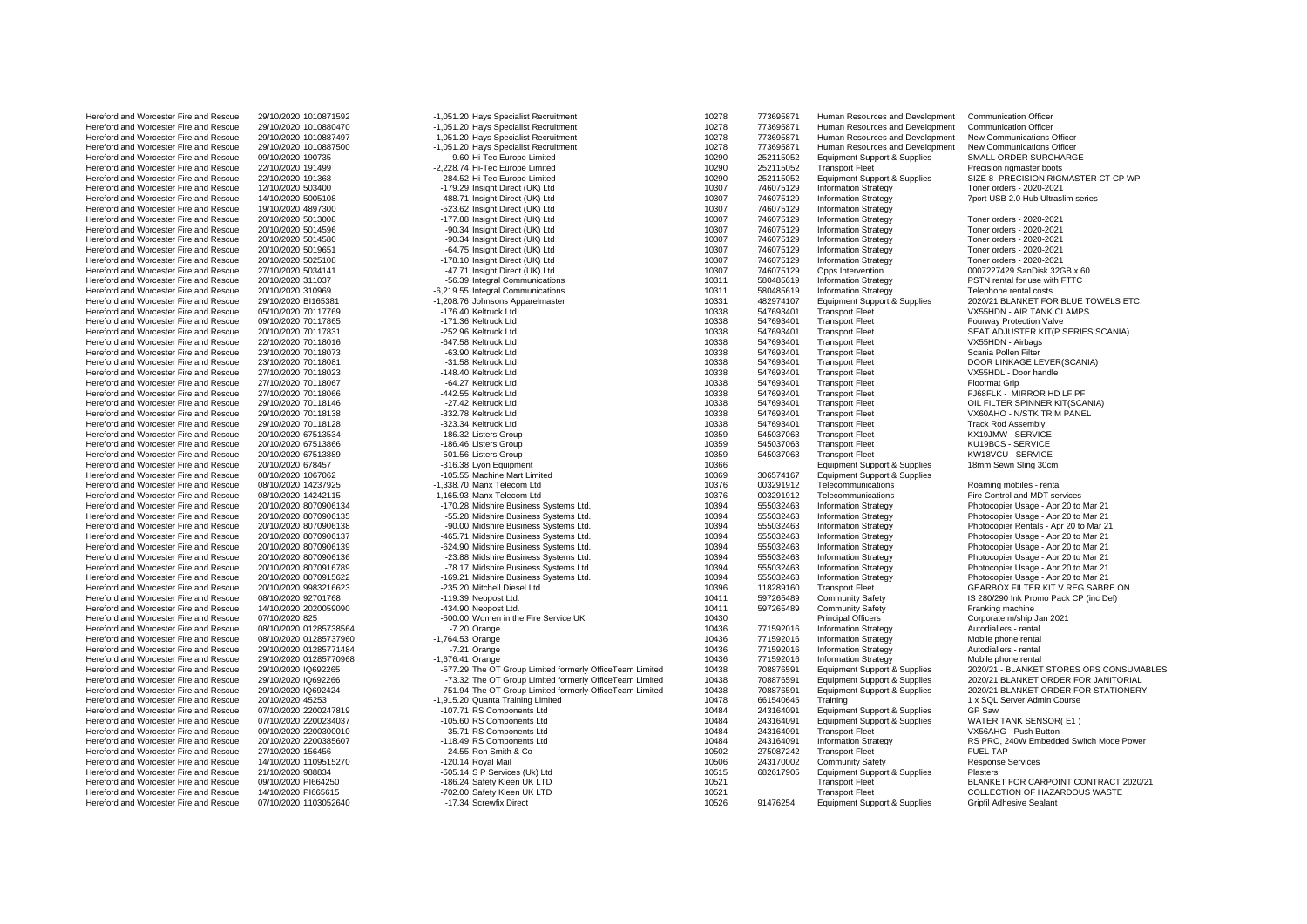| Hereford and Worcester Fire and Rescue                                           | 29/10/2020 1010871592  | -1,051.20 Hays Specialist Recruitment                    | 10278 | 773695871 | Human Resources and Development         | <b>Communication Officer</b>                               |
|----------------------------------------------------------------------------------|------------------------|----------------------------------------------------------|-------|-----------|-----------------------------------------|------------------------------------------------------------|
| Hereford and Worcester Fire and Rescue                                           | 29/10/2020 1010880470  | -1,051.20 Hays Specialist Recruitment                    | 10278 | 773695871 | Human Resources and Development         | <b>Communication Officer</b>                               |
| Hereford and Worcester Fire and Rescue                                           | 29/10/2020 1010887497  | -1,051.20 Hays Specialist Recruitment                    | 10278 | 773695871 | Human Resources and Development         | New Communications Officer                                 |
| Hereford and Worcester Fire and Rescue                                           | 29/10/2020 1010887500  | -1,051.20 Hays Specialist Recruitment                    | 10278 | 773695871 | Human Resources and Development         | New Communications Officer                                 |
| Hereford and Worcester Fire and Rescue                                           | 09/10/2020 190735      | -9.60 Hi-Tec Europe Limited                              | 10290 | 252115052 | <b>Equipment Support &amp; Supplies</b> | SMALL ORDER SURCHARGE                                      |
| Hereford and Worcester Fire and Rescue                                           | 22/10/2020 191499      | -2,228.74 Hi-Tec Europe Limited                          | 10290 | 252115052 | <b>Transport Fleet</b>                  | Precision rigmaster boots                                  |
| Hereford and Worcester Fire and Rescue                                           | 22/10/2020 191368      | -284.52 Hi-Tec Europe Limited                            | 10290 | 252115052 | <b>Equipment Support &amp; Supplies</b> | SIZE 8- PRECISION RIGMASTER CT CP WP                       |
| Hereford and Worcester Fire and Rescue                                           | 12/10/2020 503400      | -179.29 Insight Direct (UK) Ltd                          | 10307 | 746075129 | <b>Information Strategy</b>             | Toner orders - 2020-2021                                   |
| Hereford and Worcester Fire and Rescue                                           | 14/10/2020 5005108     | 488.71 Insight Direct (UK) Ltd                           | 10307 | 746075129 | <b>Information Strategy</b>             | 7port USB 2.0 Hub Ultraslim series                         |
| Hereford and Worcester Fire and Rescue                                           | 19/10/2020 4897300     | -523.62 Insight Direct (UK) Ltd                          | 10307 | 746075129 | <b>Information Strategy</b>             |                                                            |
| Hereford and Worcester Fire and Rescue                                           | 20/10/2020 5013008     | -177.88 Insight Direct (UK) Ltd                          | 10307 | 746075129 | <b>Information Strategy</b>             | Toner orders - 2020-2021                                   |
| Hereford and Worcester Fire and Rescue                                           | 20/10/2020 5014596     | -90.34 Insight Direct (UK) Ltd                           | 10307 | 746075129 | <b>Information Strategy</b>             | Toner orders - 2020-2021                                   |
|                                                                                  |                        | -90.34 Insight Direct (UK) Ltd                           | 10307 | 746075129 | <b>Information Strategy</b>             | Toner orders - 2020-2021                                   |
| Hereford and Worcester Fire and Rescue                                           | 20/10/2020 5014580     |                                                          |       |           |                                         |                                                            |
| Hereford and Worcester Fire and Rescue                                           | 20/10/2020 5019651     | -64.75 Insight Direct (UK) Ltd                           | 10307 | 746075129 | <b>Information Strategy</b>             | Toner orders - 2020-2021                                   |
| Hereford and Worcester Fire and Rescue                                           | 20/10/2020 5025108     | -178.10 Insight Direct (UK) Ltd                          | 10307 | 746075129 | <b>Information Strategy</b>             | Toner orders - 2020-2021                                   |
| Hereford and Worcester Fire and Rescue                                           | 27/10/2020 5034141     | -47.71 Insight Direct (UK) Ltd                           | 10307 | 746075129 | Opps Intervention                       | 0007227429 SanDisk 32GB x 60                               |
| Hereford and Worcester Fire and Rescue                                           | 20/10/2020 311037      | -56.39 Integral Communications                           | 10311 | 580485619 | <b>Information Strategy</b>             | PSTN rental for use with FTTC                              |
| Hereford and Worcester Fire and Rescue                                           | 20/10/2020 310969      | -6,219.55 Integral Communications                        | 10311 | 580485619 | Information Strategy                    | Telephone rental costs                                     |
| Hereford and Worcester Fire and Rescue                                           | 29/10/2020 BI165381    | -1,208.76 Johnsons Apparelmaster                         | 10331 | 482974107 | Equipment Support & Supplies            | 2020/21 BLANKET FOR BLUE TOWELS ETC.                       |
| Hereford and Worcester Fire and Rescue                                           | 05/10/2020 70117769    | -176.40 Keltruck Ltd                                     | 10338 | 547693401 | <b>Transport Fleet</b>                  | VX55HDN - AIR TANK CLAMPS                                  |
| Hereford and Worcester Fire and Rescue                                           | 09/10/2020 70117865    | -171.36 Keltruck Ltd                                     | 10338 | 547693401 | <b>Transport Fleet</b>                  | Fourway Protection Valve                                   |
| Hereford and Worcester Fire and Rescue                                           | 20/10/2020 70117831    | -252.96 Keltruck Ltd                                     | 10338 | 547693401 | <b>Transport Fleet</b>                  | SEAT ADJUSTER KIT(P SERIES SCANIA)                         |
| Hereford and Worcester Fire and Rescue                                           | 22/10/2020 70118016    | -647.58 Keltruck Ltd                                     | 10338 | 547693401 | <b>Transport Fleet</b>                  | VX55HDN - Airbags                                          |
| Hereford and Worcester Fire and Rescue                                           | 23/10/2020 70118073    | -63.90 Keltruck Ltd                                      | 10338 | 547693401 | <b>Transport Fleet</b>                  | Scania Pollen Filter                                       |
| Hereford and Worcester Fire and Rescue                                           | 23/10/2020 70118081    | -31.58 Keltruck Ltd                                      | 10338 | 547693401 | <b>Transport Fleet</b>                  | DOOR LINKAGE LEVER(SCANIA)                                 |
| Hereford and Worcester Fire and Rescue                                           | 27/10/2020 70118023    | -148.40 Keltruck Ltd                                     | 10338 | 547693401 | <b>Transport Fleet</b>                  | VX55HDL - Door handle                                      |
| Hereford and Worcester Fire and Rescue                                           | 27/10/2020 70118067    | -64.27 Keltruck Ltd                                      | 10338 | 547693401 | <b>Transport Fleet</b>                  | <b>Floormat Grip</b>                                       |
| Hereford and Worcester Fire and Rescue                                           | 27/10/2020 70118066    | -442.55 Keltruck Ltd                                     | 10338 | 547693401 | <b>Transport Fleet</b>                  | FJ68FLK - MIRROR HD LF PF                                  |
| Hereford and Worcester Fire and Rescue                                           | 29/10/2020 70118146    | -27.42 Keltruck Ltd                                      | 10338 | 547693401 | <b>Transport Fleet</b>                  | OIL FILTER SPINNER KIT(SCANIA)                             |
| Hereford and Worcester Fire and Rescue                                           | 29/10/2020 70118138    | -332.78 Keltruck Ltd                                     | 10338 | 547693401 | <b>Transport Fleet</b>                  | VX60AHO - N/STK TRIM PANEL                                 |
| Hereford and Worcester Fire and Rescue                                           | 29/10/2020 70118128    | -323.34 Keltruck Ltd                                     | 10338 | 547693401 | <b>Transport Fleet</b>                  | <b>Track Rod Assembly</b>                                  |
| Hereford and Worcester Fire and Rescue                                           | 20/10/2020 67513534    | -186.32 Listers Group                                    | 10359 | 545037063 | <b>Transport Fleet</b>                  | KX19JMW - SERVICE                                          |
| Hereford and Worcester Fire and Rescue                                           | 20/10/2020 67513866    | -186.46 Listers Group                                    | 10359 | 545037063 | <b>Transport Fleet</b>                  | KU19BCS - SERVICE                                          |
|                                                                                  |                        |                                                          | 10359 | 545037063 | <b>Transport Fleet</b>                  | KW18VCU - SERVICE                                          |
| Hereford and Worcester Fire and Rescue                                           | 20/10/2020 67513889    | -501.56 Listers Group                                    | 10366 |           |                                         |                                                            |
| Hereford and Worcester Fire and Rescue                                           | 20/10/2020 678457      | -316.38 Lyon Equipment<br>-105.55 Machine Mart Limited   |       |           | Equipment Support & Supplies            | 18mm Sewn Sling 30cm                                       |
| Hereford and Worcester Fire and Rescue                                           | 08/10/2020 1067062     |                                                          | 10369 | 306574167 | Equipment Support & Supplies            |                                                            |
| Hereford and Worcester Fire and Rescue                                           | 08/10/2020 14237925    | -1,338.70 Manx Telecom Ltd                               | 10376 | 003291912 | Telecommunications                      | Roaming mobiles - rental                                   |
| Hereford and Worcester Fire and Rescue                                           | 08/10/2020 14242115    | -1,165.93 Manx Telecom Ltd                               | 10376 | 003291912 | Telecommunications                      | Fire Control and MDT services                              |
| Hereford and Worcester Fire and Rescue                                           | 20/10/2020 8070906134  | -170.28 Midshire Business Systems Ltd.                   | 10394 | 555032463 | <b>Information Strategy</b>             | Photocopier Usage - Apr 20 to Mar 21                       |
| Hereford and Worcester Fire and Rescue                                           | 20/10/2020 8070906135  | -55.28 Midshire Business Systems Ltd.                    | 10394 | 555032463 | <b>Information Strategy</b>             | Photocopier Usage - Apr 20 to Mar 21                       |
| Hereford and Worcester Fire and Rescue                                           | 20/10/2020 8070906138  | -90.00 Midshire Business Systems Ltd.                    | 10394 | 555032463 | <b>Information Strategy</b>             | Photocopier Rentals - Apr 20 to Mar 21                     |
| Hereford and Worcester Fire and Rescue                                           | 20/10/2020 8070906137  | -465.71 Midshire Business Systems Ltd.                   | 10394 | 555032463 | <b>Information Strategy</b>             | Photocopier Usage - Apr 20 to Mar 21                       |
| Hereford and Worcester Fire and Rescue                                           | 20/10/2020 8070906139  | -624.90 Midshire Business Systems Ltd.                   | 10394 | 555032463 | <b>Information Strategy</b>             | Photocopier Usage - Apr 20 to Mar 21                       |
| Hereford and Worcester Fire and Rescue                                           | 20/10/2020 8070906136  | -23.88 Midshire Business Systems Ltd.                    | 10394 | 555032463 | <b>Information Strategy</b>             | Photocopier Usage - Apr 20 to Mar 21                       |
| Hereford and Worcester Fire and Rescue                                           | 20/10/2020 8070916789  | -78.17 Midshire Business Systems Ltd.                    | 10394 | 555032463 | <b>Information Strategy</b>             | Photocopier Usage - Apr 20 to Mar 21                       |
| Hereford and Worcester Fire and Rescue                                           | 20/10/2020 8070915622  | -169.21 Midshire Business Systems Ltd.                   | 10394 | 555032463 | <b>Information Strategy</b>             | Photocopier Usage - Apr 20 to Mar 21                       |
| Hereford and Worcester Fire and Rescue                                           | 20/10/2020 9983216623  | -235.20 Mitchell Diesel Ltd                              | 10396 | 118289160 | <b>Transport Fleet</b>                  | GEARBOX FILTER KIT V REG SABRE ON                          |
| Hereford and Worcester Fire and Rescue                                           | 08/10/2020 92701768    | -119.39 Neopost Ltd.                                     | 10411 | 597265489 | <b>Community Safety</b>                 | IS 280/290 Ink Promo Pack CP (inc Del)                     |
| Hereford and Worcester Fire and Rescue                                           | 14/10/2020 2020059090  | -434.90 Neopost Ltd.                                     | 10411 | 597265489 | <b>Community Safety</b>                 | Franking machine                                           |
| Hereford and Worcester Fire and Rescue                                           | 07/10/2020 825         | -500.00 Women in the Fire Service UK                     | 10430 |           | <b>Principal Officers</b>               | Corporate m/ship Jan 2021                                  |
| Hereford and Worcester Fire and Rescue                                           | 08/10/2020 01285738564 | $-7.20$ Orange                                           | 10436 | 771592016 | <b>Information Strategy</b>             | Autodiallers - rental                                      |
| Hereford and Worcester Fire and Rescue                                           | 08/10/2020 01285737960 | $-1,764.53$ Orange                                       | 10436 | 771592016 | <b>Information Strategy</b>             | Mobile phone rental                                        |
| Hereford and Worcester Fire and Rescue                                           | 29/10/2020 01285771484 | $-7.21$ Orange                                           | 10436 | 771592016 | <b>Information Strategy</b>             | Autodiallers - rental                                      |
| Hereford and Worcester Fire and Rescue                                           | 29/10/2020 01285770968 | $-1,676.41$ Orange                                       | 10436 | 771592016 | Information Strategy                    | Mobile phone rental                                        |
| Hereford and Worcester Fire and Rescue                                           | 29/10/2020 IQ692265    | -577.29 The OT Group Limited formerly OfficeTeam Limited | 10438 | 708876591 | Equipment Support & Supplies            | 2020/21 - BLANKET STORES OPS CONSUMABLES                   |
| Hereford and Worcester Fire and Rescue                                           | 29/10/2020 IQ692266    | -73.32 The OT Group Limited formerly OfficeTeam Limited  | 10438 | 708876591 | <b>Equipment Support &amp; Supplies</b> | 2020/21 BLANKET ORDER FOR JANITORIAL                       |
| Hereford and Worcester Fire and Rescue                                           | 29/10/2020 IQ692424    | -751.94 The OT Group Limited formerly OfficeTeam Limited | 10438 | 708876591 | <b>Equipment Support &amp; Supplies</b> | 2020/21 BLANKET ORDER FOR STATIONERY                       |
| Hereford and Worcester Fire and Rescue                                           | 20/10/2020 45253       | -1,915.20 Quanta Training Limited                        | 10478 | 661540645 | Training                                | 1 x SQL Server Admin Course                                |
| Hereford and Worcester Fire and Rescue                                           | 07/10/2020 2200247819  | -107.71 RS Components Ltd                                | 10484 | 243164091 | <b>Equipment Support &amp; Supplies</b> | GP Saw                                                     |
| Hereford and Worcester Fire and Rescue                                           | 07/10/2020 2200234037  | -105.60 RS Components Ltd                                | 10484 | 243164091 | <b>Equipment Support &amp; Supplies</b> | WATER TANK SENSOR(E1)                                      |
| Hereford and Worcester Fire and Rescue                                           | 09/10/2020 2200300010  | -35.71 RS Components Ltd                                 | 10484 | 243164091 | <b>Transport Fleet</b>                  | VX56AHG - Push Button                                      |
|                                                                                  |                        |                                                          |       |           |                                         |                                                            |
| Hereford and Worcester Fire and Rescue                                           | 20/10/2020 2200385607  | -118.49 RS Components Ltd                                | 10484 | 243164091 | <b>Information Strategy</b>             | RS PRO, 240W Embedded Switch Mode Power<br><b>FUEL TAP</b> |
| Hereford and Worcester Fire and Rescue                                           | 27/10/2020 156456      | -24.55 Ron Smith & Co                                    | 10502 | 275087242 | <b>Transport Fleet</b>                  |                                                            |
| Hereford and Worcester Fire and Rescue                                           | 14/10/2020 1109515270  | -120.14 Royal Mail                                       | 10506 | 243170002 | <b>Community Safety</b>                 | <b>Response Services</b>                                   |
| Hereford and Worcester Fire and Rescue                                           | 21/10/2020 988834      | -505.14 S P Services (Uk) Ltd                            | 10515 | 682617905 | <b>Equipment Support &amp; Supplies</b> | <b>Plasters</b>                                            |
| Hereford and Worcester Fire and Rescue                                           | 09/10/2020 PI664250    | -186.24 Safety Kleen UK LTD                              | 10521 |           | <b>Transport Fleet</b>                  | BLANKET FOR CARPOINT CONTRACT 2020/21                      |
| Hereford and Worcester Fire and Rescue<br>Hereford and Worcester Fire and Rescue | 14/10/2020 PI665615    | -702.00 Safety Kleen UK LTD                              | 10521 |           | <b>Transport Fleet</b>                  | COLLECTION OF HAZARDOUS WASTE                              |
|                                                                                  | 07/10/2020 1103052640  | -17.34 Screwfix Direct                                   | 10526 | 91476254  | Equipment Support & Supplies            | <b>Gripfil Adhesive Sealant</b>                            |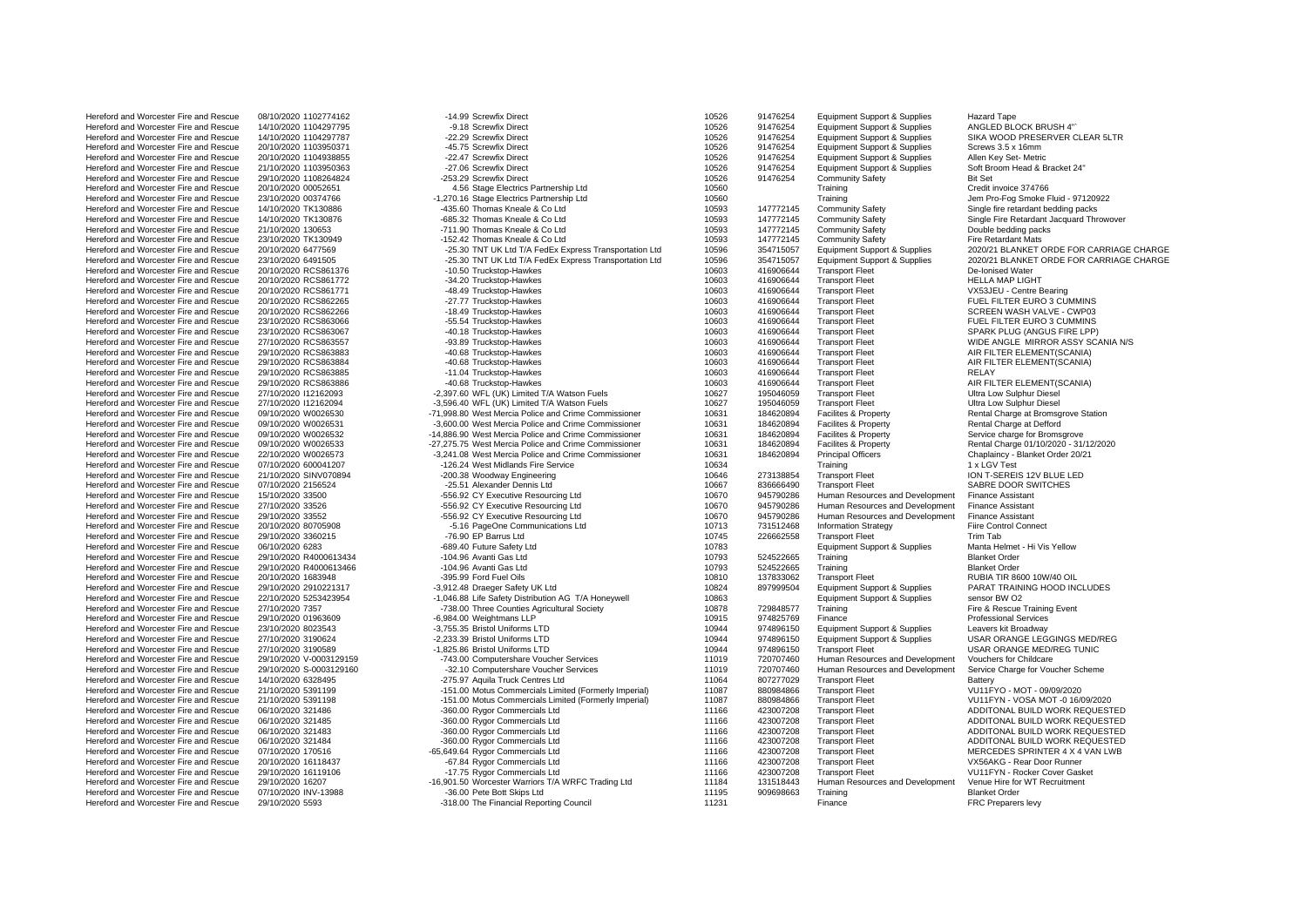| Hereford and Worcester Fire and Rescue                                           | 08/10/2020 1102774162                    | -14.99 Screwfix Direct                                                | 10526          | 91476254               | <b>Equipment Support &amp; Supplies</b>     | <b>Hazard Tape</b>                                    |
|----------------------------------------------------------------------------------|------------------------------------------|-----------------------------------------------------------------------|----------------|------------------------|---------------------------------------------|-------------------------------------------------------|
| Hereford and Worcester Fire and Rescue                                           | 14/10/2020 1104297795                    | -9.18 Screwfix Direct                                                 | 10526          | 91476254               | <b>Equipment Support &amp; Supplies</b>     | ANGLED BLOCK BRUSH 4"                                 |
| Hereford and Worcester Fire and Rescue                                           | 14/10/2020 1104297787                    | -22.29 Screwfix Direct                                                | 10526          | 91476254               | <b>Equipment Support &amp; Supplies</b>     | SIKA WOOD PRESERVER CLEAR 5LTR                        |
| Hereford and Worcester Fire and Rescue                                           | 20/10/2020 1103950371                    | -45.75 Screwfix Direct                                                | 10526          | 91476254               | <b>Equipment Support &amp; Supplies</b>     | Screws 3.5 x 16mm                                     |
| Hereford and Worcester Fire and Rescue                                           | 20/10/2020 1104938855                    | -22.47 Screwfix Direct                                                | 10526          | 91476254               | <b>Equipment Support &amp; Supplies</b>     | Allen Key Set- Metric                                 |
| Hereford and Worcester Fire and Rescue                                           | 21/10/2020 1103950363                    | -27.06 Screwfix Direct                                                | 10526          | 91476254               | Equipment Support & Supplies                | Soft Broom Head & Bracket 24"                         |
| Hereford and Worcester Fire and Rescue                                           | 29/10/2020 1108264824                    | -253.29 Screwfix Direct                                               | 10526          | 91476254               | <b>Community Safety</b>                     | <b>Bit Set</b>                                        |
| Hereford and Worcester Fire and Rescue                                           | 20/10/2020 00052651                      | 4.56 Stage Electrics Partnership Ltd                                  | 10560          |                        | Training                                    | Credit invoice 374766                                 |
| Hereford and Worcester Fire and Rescue                                           | 23/10/2020 00374766                      | -1.270.16 Stage Electrics Partnership Ltd                             | 10560          |                        | Training                                    | Jem Pro-Fog Smoke Fluid - 97120922                    |
| Hereford and Worcester Fire and Rescue                                           | 14/10/2020 TK130886                      | -435.60 Thomas Kneale & Co Ltd                                        | 10593          | 147772145              | <b>Community Safety</b>                     | Single fire retardant bedding packs                   |
| Hereford and Worcester Fire and Rescue                                           | 14/10/2020 TK130876                      | -685.32 Thomas Kneale & Co Ltd                                        | 10593          | 147772145              | <b>Community Safety</b>                     | Single Fire Retardant Jacquard Throwover              |
| Hereford and Worcester Fire and Rescue                                           | 21/10/2020 130653                        | -711.90 Thomas Kneale & Co Ltd                                        | 10593          | 147772145              | <b>Community Safety</b>                     | Double bedding packs                                  |
| Hereford and Worcester Fire and Rescue                                           | 23/10/2020 TK130949                      | -152.42 Thomas Kneale & Co Ltd                                        | 10593          | 147772145              | <b>Community Safety</b>                     | <b>Fire Retardant Mats</b>                            |
| Hereford and Worcester Fire and Rescue                                           | 20/10/2020 6477569                       | -25.30 TNT UK Ltd T/A FedEx Express Transportation Ltd                | 10596          | 354715057              | <b>Equipment Support &amp; Supplies</b>     | 2020/21 BLANKET ORDE FOR CARRIAGE CHARGE              |
| Hereford and Worcester Fire and Rescue                                           | 23/10/2020 6491505                       | -25.30 TNT UK Ltd T/A FedEx Express Transportation Ltd                | 10596          | 354715057              | <b>Equipment Support &amp; Supplies</b>     | 2020/21 BLANKET ORDE FOR CARRIAGE CHARGE              |
| Hereford and Worcester Fire and Rescue                                           | 20/10/2020 RCS861376                     | -10.50 Truckstop-Hawkes                                               | 10603          | 416906644              | <b>Transport Fleet</b>                      | De-Ionised Water                                      |
| Hereford and Worcester Fire and Rescue                                           | 20/10/2020 RCS861772                     | -34.20 Truckstop-Hawkes                                               | 10603          | 416906644              | <b>Transport Fleet</b>                      | <b>HELLA MAP LIGHT</b>                                |
| Hereford and Worcester Fire and Rescue                                           | 20/10/2020 RCS861771                     | -48.49 Truckstop-Hawkes                                               | 10603          | 416906644              | <b>Transport Fleet</b>                      | VX53JEU - Centre Bearing                              |
| Hereford and Worcester Fire and Rescue                                           | 20/10/2020 RCS862265                     | -27.77 Truckstop-Hawkes                                               | 10603          | 416906644              | <b>Transport Fleet</b>                      | FUEL FILTER EURO 3 CUMMINS                            |
| Hereford and Worcester Fire and Rescue                                           | 20/10/2020 RCS862266                     | -18.49 Truckstop-Hawkes                                               | 10603          | 416906644              | <b>Transport Fleet</b>                      | SCREEN WASH VALVE - CWP03                             |
| Hereford and Worcester Fire and Rescue                                           | 23/10/2020 RCS863066                     | -55.54 Truckstop-Hawkes                                               | 10603          | 416906644              | <b>Transport Fleet</b>                      | FUEL FILTER EURO 3 CUMMINS                            |
| Hereford and Worcester Fire and Rescue                                           | 23/10/2020 RCS863067                     | -40.18 Truckstop-Hawkes                                               | 10603          | 416906644              | <b>Transport Fleet</b>                      | SPARK PLUG (ANGUS FIRE LPP)                           |
| Hereford and Worcester Fire and Rescue                                           | 27/10/2020 RCS863557                     | -93.89 Truckstop-Hawkes                                               | 10603          | 416906644              | <b>Transport Fleet</b>                      | WIDE ANGLE MIRROR ASSY SCANIA N/S                     |
| Hereford and Worcester Fire and Rescue                                           | 29/10/2020 RCS863883                     | -40.68 Truckstop-Hawkes                                               | 10603          | 416906644              | <b>Transport Fleet</b>                      | AIR FILTER ELEMENT(SCANIA)                            |
| Hereford and Worcester Fire and Rescue                                           | 29/10/2020 RCS863884                     | -40.68 Truckstop-Hawkes                                               | 10603          | 416906644              | <b>Transport Fleet</b>                      | AIR FILTER ELEMENT(SCANIA)                            |
| Hereford and Worcester Fire and Rescue                                           | 29/10/2020 RCS863885                     | -11.04 Truckstop-Hawkes                                               | 10603          | 416906644              | <b>Transport Fleet</b>                      | RELAY                                                 |
| Hereford and Worcester Fire and Rescue                                           | 29/10/2020 RCS863886                     | -40.68 Truckstop-Hawkes                                               | 10603          | 416906644              | <b>Transport Fleet</b>                      | AIR FILTER ELEMENT(SCANIA)                            |
| Hereford and Worcester Fire and Rescue                                           | 27/10/2020 112162093                     | -2,397.60 WFL (UK) Limited T/A Watson Fuels                           | 10627          | 195046059              | <b>Transport Fleet</b>                      | Ultra Low Sulphur Diesel                              |
| Hereford and Worcester Fire and Rescue                                           | 27/10/2020 112162094                     | -3,596.40 WFL (UK) Limited T/A Watson Fuels                           | 10627          | 195046059              | <b>Transport Fleet</b>                      | Ultra Low Sulphur Diesel                              |
| Hereford and Worcester Fire and Rescue                                           | 09/10/2020 W0026530                      | -71,998.80 West Mercia Police and Crime Commissioner                  | 10631          | 184620894              | Facilites & Property                        | Rental Charge at Bromsgrove Station                   |
| Hereford and Worcester Fire and Rescue                                           | 09/10/2020 W0026531                      | -3,600.00 West Mercia Police and Crime Commissioner                   | 10631          | 184620894              | Facilites & Property                        | Rental Charge at Defford                              |
| Hereford and Worcester Fire and Rescue                                           | 09/10/2020 W0026532                      | -14.886.90 West Mercia Police and Crime Commissioner                  | 10631          | 184620894              | Facilites & Property                        | Service charge for Bromsgrove                         |
| Hereford and Worcester Fire and Rescue                                           | 09/10/2020 W0026533                      | -27,275.75 West Mercia Police and Crime Commissioner                  | 10631          | 184620894              | Facilites & Property                        | Rental Charge 01/10/2020 - 31/12/2020                 |
| Hereford and Worcester Fire and Rescue                                           | 22/10/2020 W0026573                      | -3,241.08 West Mercia Police and Crime Commissioner                   | 10631          | 184620894              | <b>Principal Officers</b>                   | Chaplaincy - Blanket Order 20/21                      |
| Hereford and Worcester Fire and Rescue                                           | 07/10/2020 600041207                     | -126.24 West Midlands Fire Service                                    | 10634          |                        | Training                                    | 1 x LGV Test                                          |
| Hereford and Worcester Fire and Rescue                                           | 21/10/2020 SINV070894                    | -200.38 Woodway Engineering                                           | 10646          | 273138854              | <b>Transport Fleet</b>                      | ION T-SEREIS 12V BLUE LED                             |
| Hereford and Worcester Fire and Rescue                                           | 07/10/2020 2156524                       | -25.51 Alexander Dennis Ltd                                           | 10667          | 836666490              | <b>Transport Fleet</b>                      | SABRE DOOR SWITCHES                                   |
| Hereford and Worcester Fire and Rescue                                           | 15/10/2020 33500                         | -556.92 CY Executive Resourcing Ltd                                   | 10670          | 945790286              | Human Resources and Development             | <b>Finance Assistant</b>                              |
| Hereford and Worcester Fire and Rescue                                           | 27/10/2020 33526                         | -556.92 CY Executive Resourcing Ltd                                   | 10670          | 945790286              | Human Resources and Development             | <b>Finance Assistant</b>                              |
| Hereford and Worcester Fire and Rescue                                           | 29/10/2020 33552                         | -556.92 CY Executive Resourcing Ltd                                   | 10670          | 945790286              | Human Resources and Development             | <b>Finance Assistant</b>                              |
| Hereford and Worcester Fire and Rescue                                           | 20/10/2020 80705908                      | -5.16 PageOne Communications Ltd                                      | 10713          | 731512468              | <b>Information Strategy</b>                 | <b>Fiire Control Connect</b>                          |
| Hereford and Worcester Fire and Rescue                                           | 29/10/2020 3360215                       | -76.90 EP Barrus Ltd                                                  | 10745          | 226662558              | <b>Transport Fleet</b>                      | <b>Trim Tab</b>                                       |
| Hereford and Worcester Fire and Rescue                                           | 06/10/2020 6283                          | -689.40 Future Safety Ltd                                             | 10783          |                        | <b>Equipment Support &amp; Supplies</b>     | Manta Helmet - Hi Vis Yellow                          |
| Hereford and Worcester Fire and Rescue                                           | 29/10/2020 R4000613434                   | -104.96 Avanti Gas Ltd                                                | 10793          | 524522665              | Training                                    | <b>Blanket Order</b>                                  |
| Hereford and Worcester Fire and Rescue                                           | 29/10/2020 R4000613466                   | -104.96 Avanti Gas Ltd                                                | 10793          | 524522665              | Training                                    | <b>Blanket Order</b>                                  |
| Hereford and Worcester Fire and Rescue                                           | 20/10/2020 1683948                       | -395.99 Ford Fuel Oils                                                | 10810          | 137833062              | <b>Transport Fleet</b>                      | RUBIA TIR 8600 10W/40 OIL                             |
| Hereford and Worcester Fire and Rescue                                           | 29/10/2020 2910221317                    | -3,912.48 Draeger Safety UK Ltd                                       | 10824          | 897999504              | <b>Equipment Support &amp; Supplies</b>     | PARAT TRAINING HOOD INCLUDES                          |
| Hereford and Worcester Fire and Rescue                                           | 22/10/2020 5253423954                    | -1,046.88 Life Safety Distribution AG T/A Honeywell                   | 10863          |                        | <b>Equipment Support &amp; Supplies</b>     | sensor BW O2                                          |
| Hereford and Worcester Fire and Rescue                                           | 27/10/2020 7357                          | -738.00 Three Counties Agricultural Society                           | 10878          | 729848577              | Training                                    | Fire & Rescue Training Event                          |
| Hereford and Worcester Fire and Rescue                                           | 29/10/2020 01963609                      | -6,984.00 Weightmans LLP                                              | 10915          | 974825769              | Finance                                     | <b>Professional Services</b>                          |
| Hereford and Worcester Fire and Rescue                                           | 23/10/2020 8023543                       | -3,755.35 Bristol Uniforms LTD                                        | 10944          | 974896150              | Equipment Support & Supplies                | Leavers kit Broadway                                  |
| Hereford and Worcester Fire and Rescue                                           | 27/10/2020 3190624                       | -2,233.39 Bristol Uniforms LTD                                        | 10944          | 974896150              | <b>Equipment Support &amp; Supplies</b>     | USAR ORANGE LEGGINGS MED/REG                          |
| Hereford and Worcester Fire and Rescue                                           | 27/10/2020 3190589                       | -1,825.86 Bristol Uniforms LTD                                        | 10944          | 974896150              | <b>Transport Fleet</b>                      | USAR ORANGE MED/REG TUNIC                             |
| Hereford and Worcester Fire and Rescue                                           | 29/10/2020 V-0003129159                  | -743.00 Computershare Voucher Services                                | 11019          | 720707460              | Human Resources and Development             | Vouchers for Childcare                                |
| Hereford and Worcester Fire and Rescue                                           | 29/10/2020 S-0003129160                  | -32.10 Computershare Voucher Services                                 | 11019          | 720707460              | Human Resources and Development             | Service Charge for Voucher Scheme                     |
| Hereford and Worcester Fire and Rescue                                           | 14/10/2020 6328495                       | -275.97 Aquila Truck Centres Ltd                                      | 11064          | 807277029              | <b>Transport Fleet</b>                      | Battery                                               |
| Hereford and Worcester Fire and Rescue                                           | 21/10/2020 5391199                       | -151.00 Motus Commercials Limited (Formerly Imperial)                 | 11087          | 880984866              | <b>Transport Fleet</b>                      | VU11FYO - MOT - 09/09/2020                            |
| Hereford and Worcester Fire and Rescue                                           | 21/10/2020 5391198                       | -151.00 Motus Commercials Limited (Formerly Imperial)                 | 11087          | 880984866              | <b>Transport Fleet</b>                      | VU11FYN - VOSA MOT -0 16/09/2020                      |
| Hereford and Worcester Fire and Rescue                                           | 06/10/2020 321486                        | -360.00 Rygor Commercials Ltd                                         | 11166          | 423007208              | <b>Transport Fleet</b>                      | ADDITONAL BUILD WORK REQUESTED                        |
| Hereford and Worcester Fire and Rescue                                           | 06/10/2020 321485                        | -360.00 Rygor Commercials Ltd                                         | 11166          | 423007208              | <b>Transport Fleet</b>                      | ADDITONAL BUILD WORK REQUESTED                        |
| Hereford and Worcester Fire and Rescue                                           | 06/10/2020 321483                        | -360.00 Rygor Commercials Ltd                                         | 11166          | 423007208              | <b>Transport Fleet</b>                      | ADDITONAL BUILD WORK REQUESTED                        |
| Hereford and Worcester Fire and Rescue                                           | 06/10/2020 321484                        | -360.00 Rygor Commercials Ltd                                         | 11166          | 423007208              | <b>Transport Fleet</b>                      | ADDITONAL BUILD WORK REQUESTED                        |
| Hereford and Worcester Fire and Rescue                                           | 07/10/2020 170516                        | -65,649.64 Rygor Commercials Ltd                                      | 11166          | 423007208              | <b>Transport Fleet</b>                      | MERCEDES SPRINTER 4 X 4 VAN LWB                       |
| Hereford and Worcester Fire and Rescue                                           | 20/10/2020 16118437                      | -67.84 Rygor Commercials Ltd                                          | 11166          | 423007208              | <b>Transport Fleet</b>                      | VX56AKG - Rear Door Runner                            |
| Hereford and Worcester Fire and Rescue                                           | 29/10/2020 16119106                      | -17.75 Rygor Commercials Ltd                                          | 11166          | 423007208              | <b>Transport Fleet</b>                      | VU11FYN - Rocker Cover Gasket                         |
| Hereford and Worcester Fire and Rescue<br>Hereford and Worcester Fire and Rescue | 29/10/2020 16207<br>07/10/2020 INV-13988 | -16.901.50 Worcester Warriors T/A WRFC Trading Ltd                    | 11184<br>11195 | 131518443<br>909698663 | Human Resources and Development<br>Training | Venue Hire for WT Recruitment<br><b>Blanket Order</b> |
| Hereford and Worcester Fire and Rescue                                           | 29/10/2020 5593                          | -36.00 Pete Bott Skips Ltd<br>-318.00 The Financial Reporting Council | 11231          |                        | Finance                                     | FRC Preparers levy                                    |
|                                                                                  |                                          |                                                                       |                |                        |                                             |                                                       |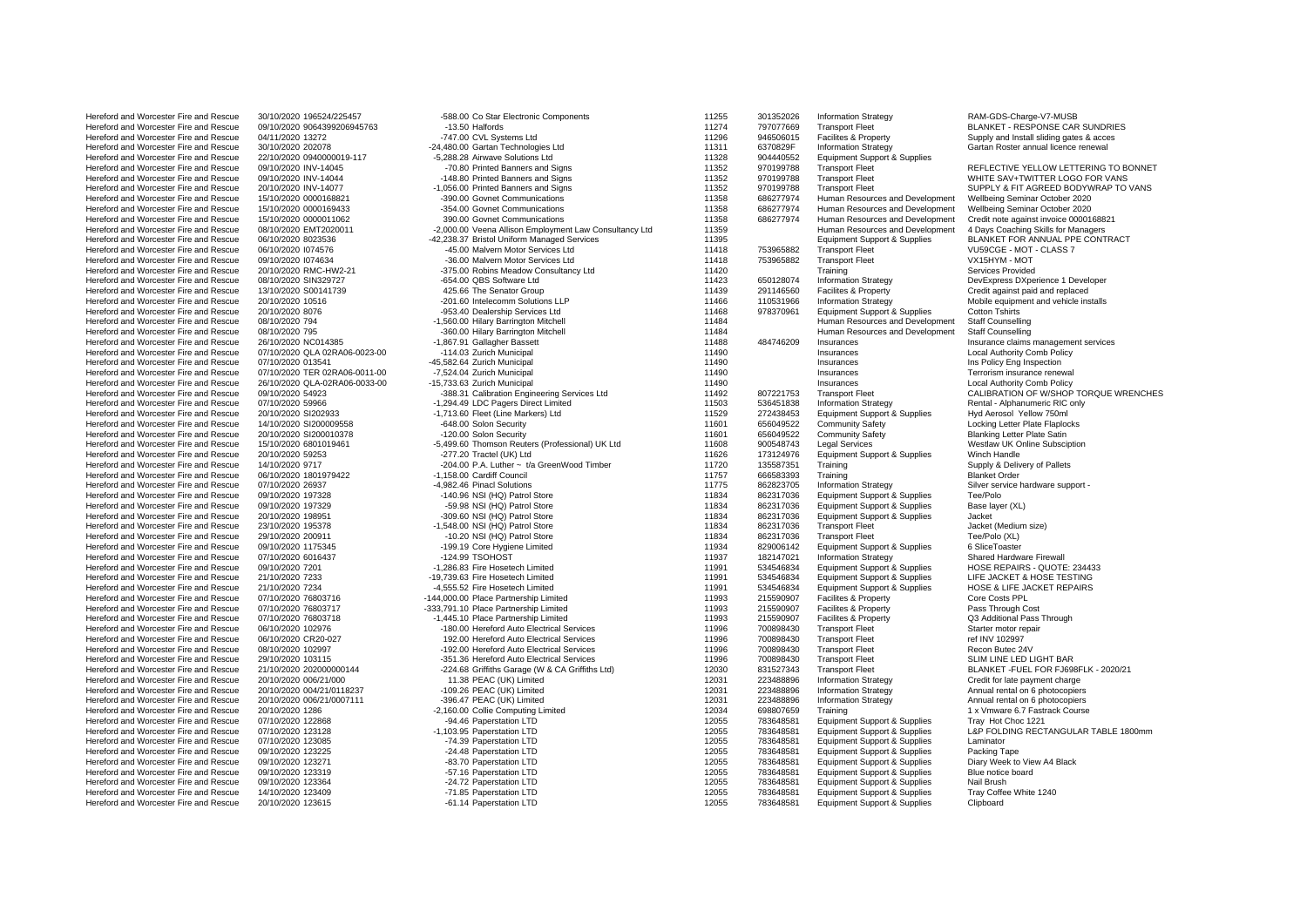| Hereford and Worcester Fire and Rescue | 30/10/2020 196524/225457      | -588.00 Co Star Electronic Components                  | 112 |
|----------------------------------------|-------------------------------|--------------------------------------------------------|-----|
| Hereford and Worcester Fire and Rescue | 09/10/2020 9064399206945763   | -13.50 Halfords                                        | 112 |
| Hereford and Worcester Fire and Rescue | 04/11/2020 13272              | -747.00 CVL Systems Ltd                                | 112 |
| Hereford and Worcester Fire and Rescue | 30/10/2020 202078             | -24,480.00 Gartan Technologies Ltd                     | 113 |
| Hereford and Worcester Fire and Rescue | 22/10/2020 0940000019-117     | -5,288.28 Airwave Solutions Ltd                        | 113 |
| Hereford and Worcester Fire and Rescue | 09/10/2020 INV-14045          | -70.80 Printed Banners and Signs                       | 113 |
| Hereford and Worcester Fire and Rescue | 09/10/2020 INV-14044          | -148.80 Printed Banners and Signs                      | 113 |
| Hereford and Worcester Fire and Rescue | 20/10/2020 INV-14077          | -1,056.00 Printed Banners and Signs                    | 113 |
|                                        |                               |                                                        |     |
| Hereford and Worcester Fire and Rescue | 15/10/2020 0000168821         | -390.00 Govnet Communications                          | 113 |
| Hereford and Worcester Fire and Rescue | 15/10/2020 0000169433         | -354.00 Govnet Communications                          | 113 |
| Hereford and Worcester Fire and Rescue | 15/10/2020 0000011062         | 390.00 Govnet Communications                           | 113 |
| Hereford and Worcester Fire and Rescue | 08/10/2020 EMT2020011         | -2,000.00 Veena Allison Employment Law Consultancy Ltd | 113 |
| Hereford and Worcester Fire and Rescue | 06/10/2020 8023536            | -42,238.37 Bristol Uniform Managed Services            | 113 |
| Hereford and Worcester Fire and Rescue | 06/10/2020 1074576            | -45.00 Malvern Motor Services Ltd                      | 114 |
| Hereford and Worcester Fire and Rescue | 09/10/2020 1074634            | -36.00 Malvern Motor Services Ltd                      | 114 |
| Hereford and Worcester Fire and Rescue | 20/10/2020 RMC-HW2-21         | -375.00 Robins Meadow Consultancy Ltd                  | 114 |
| Hereford and Worcester Fire and Rescue | 08/10/2020 SIN329727          | -654.00 QBS Software Ltd                               | 114 |
| Hereford and Worcester Fire and Rescue | 13/10/2020 S00141739          | 425.66 The Senator Group                               | 114 |
| Hereford and Worcester Fire and Rescue | 20/10/2020 10516              | -201.60 Intelecomm Solutions LLP                       | 114 |
| Hereford and Worcester Fire and Rescue |                               | -953.40 Dealership Services Ltd                        | 114 |
|                                        | 20/10/2020 8076               |                                                        | 114 |
| Hereford and Worcester Fire and Rescue | 08/10/2020 794                | -1,560.00 Hilary Barrington Mitchell                   |     |
| Hereford and Worcester Fire and Rescue | 08/10/2020 795                | -360.00 Hilary Barrington Mitchell                     | 114 |
| Hereford and Worcester Fire and Rescue | 26/10/2020 NC014385           | -1,867.91 Gallagher Bassett                            | 114 |
| Hereford and Worcester Fire and Rescue | 07/10/2020 QLA 02RA06-0023-00 | -114.03 Zurich Municipal                               | 114 |
| Hereford and Worcester Fire and Rescue | 07/10/2020 013541             | -45,582.64 Zurich Municipal                            | 114 |
| Hereford and Worcester Fire and Rescue | 07/10/2020 TER 02RA06-0011-00 | -7,524.04 Zurich Municipal                             | 114 |
| Hereford and Worcester Fire and Rescue | 26/10/2020 QLA-02RA06-0033-00 | -15,733.63 Zurich Municipal                            | 114 |
| Hereford and Worcester Fire and Rescue | 09/10/2020 54923              | -388.31 Calibration Engineering Services Ltd           | 114 |
| Hereford and Worcester Fire and Rescue | 07/10/2020 59966              | -1,294.49 LDC Pagers Direct Limited                    | 115 |
| Hereford and Worcester Fire and Rescue | 20/10/2020 SI202933           | -1,713.60 Fleet (Line Markers) Ltd                     | 115 |
| Hereford and Worcester Fire and Rescue | 14/10/2020 SI200009558        | -648.00 Solon Security                                 | 116 |
| Hereford and Worcester Fire and Rescue | 20/10/2020 SI200010378        | -120.00 Solon Security                                 | 116 |
| Hereford and Worcester Fire and Rescue | 15/10/2020 6801019461         | -5,499.60 Thomson Reuters (Professional) UK Ltd        | 116 |
| Hereford and Worcester Fire and Rescue | 20/10/2020 59253              | -277.20 Tractel (UK) Ltd                               | 116 |
| Hereford and Worcester Fire and Rescue |                               | -204.00 P.A. Luther ~ t/a GreenWood Timber             | 117 |
| Hereford and Worcester Fire and Rescue | 14/10/2020 9717               | -1,158.00 Cardiff Council                              | 117 |
|                                        | 06/10/2020 1801979422         |                                                        |     |
| Hereford and Worcester Fire and Rescue | 07/10/2020 26937              | -4,982.46 Pinacl Solutions                             | 117 |
| Hereford and Worcester Fire and Rescue | 09/10/2020 197328             | -140.96 NSI (HQ) Patrol Store                          | 118 |
| Hereford and Worcester Fire and Rescue | 09/10/2020 197329             | -59.98 NSI (HQ) Patrol Store                           | 118 |
| Hereford and Worcester Fire and Rescue | 20/10/2020 198951             | -309.60 NSI (HQ) Patrol Store                          | 118 |
| Hereford and Worcester Fire and Rescue | 23/10/2020 195378             | -1,548.00 NSI (HQ) Patrol Store                        | 118 |
| Hereford and Worcester Fire and Rescue | 29/10/2020 200911             | -10.20 NSI (HQ) Patrol Store                           | 118 |
| Hereford and Worcester Fire and Rescue | 09/10/2020 1175345            | -199.19 Core Hygiene Limited                           | 119 |
| Hereford and Worcester Fire and Rescue | 07/10/2020 6016437            | -124.99 TSOHOST                                        | 119 |
| Hereford and Worcester Fire and Rescue | 09/10/2020 7201               | -1,286.83 Fire Hosetech Limited                        | 119 |
| Hereford and Worcester Fire and Rescue | 21/10/2020 7233               | -19,739.63 Fire Hosetech Limited                       | 119 |
| Hereford and Worcester Fire and Rescue | 21/10/2020 7234               | -4,555.52 Fire Hosetech Limited                        | 119 |
| Hereford and Worcester Fire and Rescue | 07/10/2020 76803716           | -144,000.00 Place Partnership Limited                  | 119 |
| Hereford and Worcester Fire and Rescue | 07/10/2020 76803717           | -333,791.10 Place Partnership Limited                  | 119 |
| Hereford and Worcester Fire and Rescue | 07/10/2020 76803718           | -1,445.10 Place Partnership Limited                    | 119 |
|                                        |                               |                                                        |     |
| Hereford and Worcester Fire and Rescue | 06/10/2020 102976             | -180.00 Hereford Auto Electrical Services              | 119 |
| Hereford and Worcester Fire and Rescue | 06/10/2020 CR20-027           | 192.00 Hereford Auto Electrical Services               | 119 |
| Hereford and Worcester Fire and Rescue | 08/10/2020 102997             | -192.00 Hereford Auto Electrical Services              | 119 |
| Hereford and Worcester Fire and Rescue | 29/10/2020 103115             | -351.36 Hereford Auto Electrical Services              | 119 |
| Hereford and Worcester Fire and Rescue | 21/10/2020 202000000144       | -224.68 Griffiths Garage (W & CA Griffiths Ltd)        | 120 |
| Hereford and Worcester Fire and Rescue | 20/10/2020 006/21/000         | 11.38 PEAC (UK) Limited                                | 120 |
| Hereford and Worcester Fire and Rescue | 20/10/2020 004/21/0118237     | -109.26 PEAC (UK) Limited                              | 120 |
| Hereford and Worcester Fire and Rescue | 20/10/2020 006/21/0007111     | -396.47 PEAC (UK) Limited                              | 120 |
| Hereford and Worcester Fire and Rescue | 20/10/2020 1286               | -2,160.00 Collie Computing Limited                     | 120 |
| Hereford and Worcester Fire and Rescue | 07/10/2020 122868             | -94.46 Paperstation LTD                                | 120 |
| Hereford and Worcester Fire and Rescue | 07/10/2020 123128             | -1,103.95 Paperstation LTD                             | 120 |
| Hereford and Worcester Fire and Rescue | 07/10/2020 123085             | -74.39 Paperstation LTD                                | 120 |
| Hereford and Worcester Fire and Rescue | 09/10/2020 123225             | -24.48 Paperstation LTD                                | 120 |
| Hereford and Worcester Fire and Rescue | 09/10/2020 123271             | -83.70 Paperstation LTD                                | 120 |
| Hereford and Worcester Fire and Rescue | 09/10/2020 123319             | -57.16 Paperstation LTD                                | 120 |
| Hereford and Worcester Fire and Rescue | 09/10/2020 123364             |                                                        | 120 |
|                                        |                               | -24.72 Paperstation LTD                                |     |
| Hereford and Worcester Fire and Rescue | 14/10/2020 123409             | -71.85 Paperstation LTD                                | 120 |
| Hereford and Worcester Fire and Rescue | 20/10/2020 123615             | -61.14 Paperstation LTD                                | 120 |

| Hereford and Worcester Fire and Rescue | 30/10/2020 196524/225457      | -588.00 Co Star Electronic Components                  | 11255 | 301352026 | <b>Information Strategy</b>             | RAM-GDS-Charge-V7-MUSB                   |
|----------------------------------------|-------------------------------|--------------------------------------------------------|-------|-----------|-----------------------------------------|------------------------------------------|
| Hereford and Worcester Fire and Rescue | 09/10/2020 9064399206945763   | -13.50 Halfords                                        | 11274 | 797077669 | <b>Transport Fleet</b>                  | BLANKET - RESPONSE CAR SUNDRIES          |
| Hereford and Worcester Fire and Rescue | 04/11/2020 13272              | -747.00 CVL Systems Ltd                                | 11296 | 946506015 | <b>Facilites &amp; Property</b>         | Supply and Install sliding gates & acces |
| Hereford and Worcester Fire and Rescue | 30/10/2020 202078             | -24,480.00 Gartan Technologies Ltd                     | 11311 | 6370829F  | <b>Information Strategy</b>             | Gartan Roster annual licence renewal     |
|                                        |                               |                                                        |       |           |                                         |                                          |
| Hereford and Worcester Fire and Rescue | 22/10/2020 0940000019-117     | -5,288.28 Airwave Solutions Ltd                        | 11328 | 904440552 | <b>Equipment Support &amp; Supplies</b> |                                          |
| Hereford and Worcester Fire and Rescue | 09/10/2020 INV-14045          | -70.80 Printed Banners and Signs                       | 11352 | 970199788 | <b>Transport Fleet</b>                  | REFLECTIVE YELLOW LETTERING TO BONNET    |
| Hereford and Worcester Fire and Rescue | 09/10/2020 INV-14044          | -148.80 Printed Banners and Signs                      | 11352 | 970199788 | <b>Transport Fleet</b>                  | WHITE SAV+TWITTER LOGO FOR VANS          |
| Hereford and Worcester Fire and Rescue | 20/10/2020 INV-14077          | -1,056.00 Printed Banners and Signs                    | 11352 | 970199788 | <b>Transport Fleet</b>                  | SUPPLY & FIT AGREED BODYWRAP TO VANS     |
| Hereford and Worcester Fire and Rescue | 15/10/2020 0000168821         | -390.00 Govnet Communications                          | 11358 | 686277974 | Human Resources and Development         | Wellbeing Seminar October 2020           |
|                                        |                               |                                                        |       |           |                                         |                                          |
| Hereford and Worcester Fire and Rescue | 15/10/2020 0000169433         | -354.00 Govnet Communications                          | 11358 | 686277974 | Human Resources and Development         | Wellbeing Seminar October 2020           |
| Hereford and Worcester Fire and Rescue | 15/10/2020 0000011062         | 390.00 Govnet Communications                           | 11358 | 686277974 | Human Resources and Development         | Credit note against invoice 0000168821   |
| Hereford and Worcester Fire and Rescue | 08/10/2020 EMT2020011         | -2,000.00 Veena Allison Employment Law Consultancy Ltd | 11359 |           | Human Resources and Development         | 4 Days Coaching Skills for Managers      |
| Hereford and Worcester Fire and Rescue | 06/10/2020 8023536            | -42,238.37 Bristol Uniform Managed Services            | 11395 |           | Equipment Support & Supplies            | BLANKET FOR ANNUAL PPE CONTRACT          |
| Hereford and Worcester Fire and Rescue | 06/10/2020 1074576            | -45.00 Malvern Motor Services Ltd                      | 11418 | 753965882 | <b>Transport Fleet</b>                  | VU59CGE - MOT - CLASS 7                  |
|                                        |                               |                                                        |       |           |                                         | VX15HYM - MOT                            |
| Hereford and Worcester Fire and Rescue | 09/10/2020 1074634            | -36.00 Malvern Motor Services Ltd                      | 11418 | 753965882 | <b>Transport Fleet</b>                  |                                          |
| Hereford and Worcester Fire and Rescue | 20/10/2020 RMC-HW2-21         | -375.00 Robins Meadow Consultancy Ltd                  | 11420 |           | Training                                | Services Provided                        |
| Hereford and Worcester Fire and Rescue | 08/10/2020 SIN329727          | -654.00 QBS Software Ltd                               | 11423 | 650128074 | <b>Information Strategy</b>             | DevExpress DXperience 1 Developer        |
| Hereford and Worcester Fire and Rescue | 13/10/2020 S00141739          | 425.66 The Senator Group                               | 11439 | 291146560 | Facilites & Property                    | Credit against paid and replaced         |
| Hereford and Worcester Fire and Rescue | 20/10/2020 10516              | -201.60 Intelecomm Solutions LLP                       | 11466 | 110531966 | <b>Information Strategy</b>             | Mobile equipment and vehicle installs    |
| Hereford and Worcester Fire and Rescue | 20/10/2020 8076               |                                                        | 11468 | 978370961 |                                         | <b>Cotton Tshirts</b>                    |
|                                        |                               | -953.40 Dealership Services Ltd                        |       |           | <b>Equipment Support &amp; Supplies</b> |                                          |
| Hereford and Worcester Fire and Rescue | 08/10/2020 794                | -1,560.00 Hilary Barrington Mitchell                   | 11484 |           | Human Resources and Development         | <b>Staff Counselling</b>                 |
| Hereford and Worcester Fire and Rescue | 08/10/2020 795                | -360.00 Hilary Barrington Mitchell                     | 11484 |           | Human Resources and Development         | <b>Staff Counselling</b>                 |
| Hereford and Worcester Fire and Rescue | 26/10/2020 NC014385           | -1,867.91 Gallagher Bassett                            | 11488 | 484746209 | Insurances                              | Insurance claims management services     |
| Hereford and Worcester Fire and Rescue | 07/10/2020 QLA 02RA06-0023-00 | -114.03 Zurich Municipal                               | 11490 |           | Insurances                              | Local Authority Comb Policy              |
|                                        |                               |                                                        |       |           |                                         |                                          |
| Hereford and Worcester Fire and Rescue | 07/10/2020 013541             | -45,582.64 Zurich Municipal                            | 11490 |           | Insurances                              | Ins Policy Eng Inspection                |
| Hereford and Worcester Fire and Rescue | 07/10/2020 TER 02RA06-0011-00 | -7,524.04 Zurich Municipal                             | 11490 |           | Insurances                              | Terrorism insurance renewal              |
| Hereford and Worcester Fire and Rescue | 26/10/2020 QLA-02RA06-0033-00 | -15,733.63 Zurich Municipal                            | 11490 |           | Insurances                              | Local Authority Comb Policy              |
| Hereford and Worcester Fire and Rescue | 09/10/2020 54923              | -388.31 Calibration Engineering Services Ltd           | 11492 | 807221753 | <b>Transport Fleet</b>                  | CALIBRATION OF W/SHOP TORQUE WRENCHE     |
| Hereford and Worcester Fire and Rescue | 07/10/2020 59966              | -1,294.49 LDC Pagers Direct Limited                    | 11503 | 536451838 | <b>Information Strategy</b>             | Rental - Alphanumeric RIC only           |
|                                        |                               |                                                        |       |           |                                         |                                          |
| Hereford and Worcester Fire and Rescue | 20/10/2020 SI202933           | -1,713.60 Fleet (Line Markers) Ltd                     | 11529 | 272438453 | Equipment Support & Supplies            | Hyd Aerosol Yellow 750ml                 |
| Hereford and Worcester Fire and Rescue | 14/10/2020 SI200009558        | -648.00 Solon Security                                 | 11601 | 656049522 | <b>Community Safety</b>                 | Locking Letter Plate Flaplocks           |
| Hereford and Worcester Fire and Rescue | 20/10/2020 SI200010378        | -120.00 Solon Security                                 | 11601 | 656049522 | <b>Community Safety</b>                 | <b>Blanking Letter Plate Satin</b>       |
| Hereford and Worcester Fire and Rescue | 15/10/2020 6801019461         | -5,499.60 Thomson Reuters (Professional) UK Ltd        | 11608 | 900548743 | <b>Legal Services</b>                   | Westlaw UK Online Subsciption            |
| Hereford and Worcester Fire and Rescue | 20/10/2020 59253              | -277.20 Tractel (UK) Ltd                               | 11626 | 173124976 | Equipment Support & Supplies            | Winch Handle                             |
|                                        |                               |                                                        |       |           |                                         |                                          |
| Hereford and Worcester Fire and Rescue | 14/10/2020 9717               | -204.00 P.A. Luther ~ t/a GreenWood Timber             | 11720 | 135587351 | Training                                | Supply & Delivery of Pallets             |
| Hereford and Worcester Fire and Rescue | 06/10/2020 1801979422         | -1,158.00 Cardiff Council                              | 11757 | 666583393 | Training                                | <b>Blanket Order</b>                     |
| Hereford and Worcester Fire and Rescue | 07/10/2020 26937              | -4.982.46 Pinacl Solutions                             | 11775 | 862823705 | <b>Information Strategy</b>             | Silver service hardware support -        |
| Hereford and Worcester Fire and Rescue | 09/10/2020 197328             | -140.96 NSI (HQ) Patrol Store                          | 11834 | 862317036 | Equipment Support & Supplies            | Tee/Polo                                 |
| Hereford and Worcester Fire and Rescue | 09/10/2020 197329             | -59.98 NSI (HQ) Patrol Store                           | 11834 | 862317036 | <b>Equipment Support &amp; Supplies</b> | Base layer (XL)                          |
| Hereford and Worcester Fire and Rescue | 20/10/2020 198951             |                                                        | 11834 | 862317036 |                                         | Jacket                                   |
|                                        |                               | -309.60 NSI (HQ) Patrol Store                          |       |           | Equipment Support & Supplies            |                                          |
| Hereford and Worcester Fire and Rescue | 23/10/2020 195378             | -1,548.00 NSI (HQ) Patrol Store                        | 11834 | 862317036 | <b>Transport Fleet</b>                  | Jacket (Medium size)                     |
| Hereford and Worcester Fire and Rescue | 29/10/2020 200911             | -10.20 NSI (HQ) Patrol Store                           | 11834 | 862317036 | <b>Transport Fleet</b>                  | Tee/Polo (XL)                            |
| Hereford and Worcester Fire and Rescue | 09/10/2020 1175345            | -199.19 Core Hygiene Limited                           | 11934 | 829006142 | Equipment Support & Supplies            | 6 SliceToaster                           |
| Hereford and Worcester Fire and Rescue | 07/10/2020 6016437            | -124.99 TSOHOST                                        | 11937 | 182147021 | <b>Information Strategy</b>             | Shared Hardware Firewall                 |
| Hereford and Worcester Fire and Rescue | 09/10/2020 7201               | -1.286.83 Fire Hosetech Limited                        | 11991 | 534546834 | Equipment Support & Supplies            | HOSE REPAIRS - QUOTE: 234433             |
|                                        |                               |                                                        |       |           |                                         |                                          |
| Hereford and Worcester Fire and Rescue | 21/10/2020 7233               | -19,739.63 Fire Hosetech Limited                       | 11991 | 534546834 | Equipment Support & Supplies            | LIFE JACKET & HOSE TESTING               |
| Hereford and Worcester Fire and Rescue | 21/10/2020 7234               | -4,555.52 Fire Hosetech Limited                        | 11991 | 534546834 | Equipment Support & Supplies            | HOSE & LIFE JACKET REPAIRS               |
| Hereford and Worcester Fire and Rescue | 07/10/2020 76803716           | -144,000.00 Place Partnership Limited                  | 11993 | 215590907 | <b>Facilites &amp; Property</b>         | Core Costs PPL                           |
| Hereford and Worcester Fire and Rescue | 07/10/2020 76803717           | -333,791.10 Place Partnership Limited                  | 11993 | 215590907 | Facilites & Property                    | Pass Through Cost                        |
| Hereford and Worcester Fire and Rescue | 07/10/2020 76803718           | -1,445.10 Place Partnership Limited                    | 11993 | 215590907 | Facilites & Property                    | Q3 Additional Pass Through               |
|                                        |                               |                                                        |       |           |                                         |                                          |
| Hereford and Worcester Fire and Rescue | 06/10/2020 102976             | -180.00 Hereford Auto Electrical Services              | 11996 | 700898430 | <b>Transport Fleet</b>                  | Starter motor repair                     |
| Hereford and Worcester Fire and Rescue | 06/10/2020 CR20-027           | 192.00 Hereford Auto Electrical Services               | 11996 | 700898430 | <b>Transport Fleet</b>                  | ref INV 102997                           |
| Hereford and Worcester Fire and Rescue | 08/10/2020 102997             | -192.00 Hereford Auto Electrical Services              | 11996 | 700898430 | <b>Transport Fleet</b>                  | Recon Butec 24V                          |
| Hereford and Worcester Fire and Rescue | 29/10/2020 103115             | -351.36 Hereford Auto Electrical Services              | 11996 | 700898430 | <b>Transport Fleet</b>                  | SLIM LINE LED LIGHT BAR                  |
| Hereford and Worcester Fire and Rescue | 21/10/2020 202000000144       | -224.68 Griffiths Garage (W & CA Griffiths Ltd)        | 12030 | 831527343 | <b>Transport Fleet</b>                  | BLANKET - FUEL FOR FJ698FLK - 2020/21    |
|                                        |                               |                                                        |       |           |                                         |                                          |
| Hereford and Worcester Fire and Rescue | 20/10/2020 006/21/000         | 11.38 PEAC (UK) Limited                                | 12031 | 223488896 | <b>Information Strategy</b>             | Credit for late payment charge           |
| Hereford and Worcester Fire and Rescue | 20/10/2020 004/21/0118237     | -109.26 PEAC (UK) Limited                              | 12031 | 223488896 | <b>Information Strategy</b>             | Annual rental on 6 photocopiers          |
| Hereford and Worcester Fire and Rescue | 20/10/2020 006/21/0007111     | -396.47 PEAC (UK) Limited                              | 12031 | 223488896 | <b>Information Strategy</b>             | Annual rental on 6 photocopiers          |
| Hereford and Worcester Fire and Rescue | 20/10/2020 1286               | -2,160.00 Collie Computing Limited                     | 12034 | 698807659 | Training                                | 1 x Vmware 6.7 Fastrack Course           |
| Hereford and Worcester Fire and Rescue | 07/10/2020 122868             | -94.46 Paperstation LTD                                | 12055 | 783648581 | Equipment Support & Supplies            | Tray Hot Choc 1221                       |
|                                        |                               |                                                        |       |           |                                         |                                          |
| Hereford and Worcester Fire and Rescue | 07/10/2020 123128             | -1,103.95 Paperstation LTD                             | 12055 | 783648581 | Equipment Support & Supplies            | L&P FOLDING RECTANGULAR TABLE 1800mm     |
| Hereford and Worcester Fire and Rescue | 07/10/2020 123085             | -74.39 Paperstation LTD                                | 12055 | 783648581 | Equipment Support & Supplies            | Laminator                                |
| Hereford and Worcester Fire and Rescue | 09/10/2020 123225             | -24.48 Paperstation LTD                                | 12055 | 783648581 | Equipment Support & Supplies            | Packing Tape                             |
| Hereford and Worcester Fire and Rescue | 09/10/2020 123271             | -83.70 Paperstation LTD                                | 12055 | 783648581 | Equipment Support & Supplies            | Diary Week to View A4 Black              |
| Hereford and Worcester Fire and Rescue | 09/10/2020 123319             | -57.16 Paperstation LTD                                | 12055 | 783648581 | Equipment Support & Supplies            | Blue notice board                        |
|                                        |                               |                                                        |       |           |                                         |                                          |
| Hereford and Worcester Fire and Rescue | 09/10/2020 123364             | -24.72 Paperstation LTD                                | 12055 | 783648581 | Equipment Support & Supplies            | Nail Brush                               |
| Hereford and Worcester Fire and Rescue | 14/10/2020 123409             | -71.85 Paperstation LTD                                | 12055 | 783648581 | <b>Equipment Support &amp; Supplies</b> | Tray Coffee White 1240                   |
| Hereford and Worcester Fire and Rescue | 20/10/2020 123615             | -61.14 Paperstation LTD                                | 12055 | 783648581 | Equipment Support & Supplies            | Clipboard                                |
|                                        |                               |                                                        |       |           |                                         |                                          |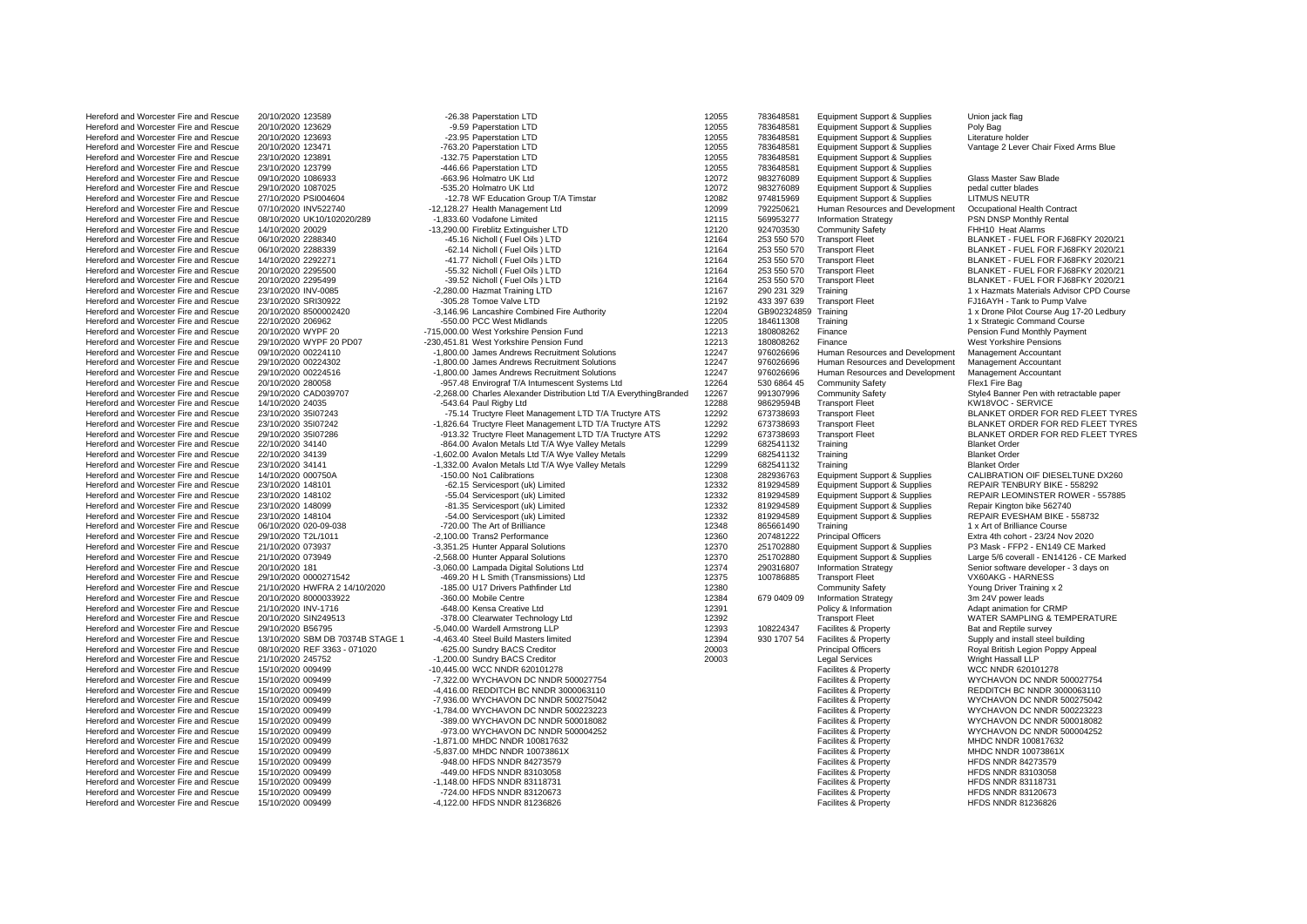| ileiciviu aliu wylicesiei i lie aliu Rescue | LUI IUILULU TLUJUJ               | - Συ.υυ τα μετοιαιινη Ετυ                                          | 14 Y |
|---------------------------------------------|----------------------------------|--------------------------------------------------------------------|------|
| Hereford and Worcester Fire and Rescue      | 20/10/2020 123629                | -9.59 Paperstation LTD                                             | 120  |
| Hereford and Worcester Fire and Rescue      | 20/10/2020 123693                | -23.95 Paperstation LTD                                            | 120  |
| Hereford and Worcester Fire and Rescue      | 20/10/2020 123471                | -763.20 Paperstation LTD                                           | 120  |
|                                             |                                  |                                                                    |      |
| Hereford and Worcester Fire and Rescue      | 23/10/2020 123891                | -132.75 Paperstation LTD                                           | 120  |
| Hereford and Worcester Fire and Rescue      | 23/10/2020 123799                | -446.66 Paperstation LTD                                           | 120  |
| Hereford and Worcester Fire and Rescue      | 09/10/2020 1086933               | -663.96 Holmatro UK Ltd                                            | 120  |
| Hereford and Worcester Fire and Rescue      | 29/10/2020 1087025               | -535.20 Holmatro UK Ltd                                            | 120  |
|                                             |                                  |                                                                    |      |
| Hereford and Worcester Fire and Rescue      | 27/10/2020 PSI004604             | -12.78 WF Education Group T/A Timstar                              | 120  |
| Hereford and Worcester Fire and Rescue      | 07/10/2020 INV522740             | -12,128.27 Health Management Ltd                                   | 120  |
| Hereford and Worcester Fire and Rescue      | 08/10/2020 UK10/102020/289       | -1,833.60 Vodafone Limited                                         | 121  |
| Hereford and Worcester Fire and Rescue      | 14/10/2020 20029                 | -13,290.00 Fireblitz Extinguisher LTD                              | 121  |
|                                             |                                  |                                                                    | 121  |
| Hereford and Worcester Fire and Rescue      | 06/10/2020 2288340               | -45.16 Nicholl (Fuel Oils ) LTD                                    |      |
| Hereford and Worcester Fire and Rescue      | 06/10/2020 2288339               | -62.14 Nicholl (Fuel Oils) LTD                                     | 121  |
| Hereford and Worcester Fire and Rescue      | 14/10/2020 2292271               | -41.77 Nicholl (Fuel Oils) LTD                                     | 121  |
| Hereford and Worcester Fire and Rescue      | 20/10/2020 2295500               | -55.32 Nicholl (Fuel Oils) LTD                                     | 121  |
| Hereford and Worcester Fire and Rescue      | 20/10/2020 2295499               | -39.52 Nicholl (Fuel Oils ) LTD                                    | 121  |
|                                             |                                  |                                                                    |      |
| Hereford and Worcester Fire and Rescue      | 23/10/2020 INV-0085              | -2,280.00 Hazmat Training LTD                                      | 121  |
| Hereford and Worcester Fire and Rescue      | 23/10/2020 SRI30922              | -305.28 Tomoe Valve LTD                                            | 121  |
| Hereford and Worcester Fire and Rescue      | 20/10/2020 8500002420            | -3,146.96 Lancashire Combined Fire Authority                       | 122  |
| Hereford and Worcester Fire and Rescue      | 22/10/2020 206962                | -550.00 PCC West Midlands                                          | 122  |
|                                             |                                  |                                                                    | 122  |
| Hereford and Worcester Fire and Rescue      | 20/10/2020 WYPF 20               | -715,000.00 West Yorkshire Pension Fund                            |      |
| Hereford and Worcester Fire and Rescue      | 29/10/2020 WYPF 20 PD07          | -230,451.81 West Yorkshire Pension Fund                            | 122  |
| Hereford and Worcester Fire and Rescue      | 09/10/2020 00224110              | -1,800.00 James Andrews Recruitment Solutions                      | 122  |
| Hereford and Worcester Fire and Rescue      | 29/10/2020 00224302              | -1,800.00 James Andrews Recruitment Solutions                      | 122  |
| Hereford and Worcester Fire and Rescue      | 29/10/2020 00224516              | -1,800.00 James Andrews Recruitment Solutions                      | 122  |
|                                             |                                  |                                                                    |      |
| Hereford and Worcester Fire and Rescue      | 20/10/2020 280058                | -957.48 Envirograf T/A Intumescent Systems Ltd                     | 122  |
| Hereford and Worcester Fire and Rescue      | 29/10/2020 CAD039707             | -2,268.00 Charles Alexander Distribution Ltd T/A EverythingBranded | 122  |
| Hereford and Worcester Fire and Rescue      | 14/10/2020 24035                 | -543.64 Paul Rigby Ltd                                             | 122  |
| Hereford and Worcester Fire and Rescue      | 23/10/2020 35l07243              | -75.14 Tructyre Fleet Management LTD T/A Tructyre ATS              | 122  |
| Hereford and Worcester Fire and Rescue      | 23/10/2020 35l07242              |                                                                    | 122  |
|                                             |                                  | -1,826.64 Tructyre Fleet Management LTD T/A Tructyre ATS           |      |
| Hereford and Worcester Fire and Rescue      | 29/10/2020 35107286              | -913.32 Tructyre Fleet Management LTD T/A Tructyre ATS             | 122  |
| Hereford and Worcester Fire and Rescue      | 22/10/2020 34140                 | -864.00 Avalon Metals Ltd T/A Wye Valley Metals                    | 122  |
| Hereford and Worcester Fire and Rescue      | 22/10/2020 34139                 | -1,602.00 Avalon Metals Ltd T/A Wye Valley Metals                  | 122  |
| Hereford and Worcester Fire and Rescue      | 23/10/2020 34141                 | -1,332.00 Avalon Metals Ltd T/A Wye Valley Metals                  | 122  |
|                                             |                                  |                                                                    |      |
| Hereford and Worcester Fire and Rescue      | 14/10/2020 000750A               | -150.00 No1 Calibrations                                           | 123  |
| Hereford and Worcester Fire and Rescue      | 23/10/2020 148101                | -62.15 Servicesport (uk) Limited                                   | 123  |
| Hereford and Worcester Fire and Rescue      | 23/10/2020 148102                | -55.04 Servicesport (uk) Limited                                   | 123  |
| Hereford and Worcester Fire and Rescue      | 23/10/2020 148099                | -81.35 Servicesport (uk) Limited                                   | 123  |
| Hereford and Worcester Fire and Rescue      | 23/10/2020 148104                | -54.00 Servicesport (uk) Limited                                   | 123  |
|                                             |                                  |                                                                    |      |
| Hereford and Worcester Fire and Rescue      | 06/10/2020 020-09-038            | -720.00 The Art of Brilliance                                      | 123  |
| Hereford and Worcester Fire and Rescue      | 29/10/2020 T2L/1011              | -2,100.00 Trans2 Performance                                       | 123  |
| Hereford and Worcester Fire and Rescue      | 21/10/2020 073937                | -3,351.25 Hunter Apparal Solutions                                 | 123  |
| Hereford and Worcester Fire and Rescue      | 21/10/2020 073949                | -2,568.00 Hunter Apparal Solutions                                 | 123  |
|                                             |                                  |                                                                    | 123  |
| Hereford and Worcester Fire and Rescue      | 20/10/2020 181                   | -3,060.00 Lampada Digital Solutions Ltd                            |      |
| Hereford and Worcester Fire and Rescue      | 29/10/2020 0000271542            | -469.20 H L Smith (Transmissions) Ltd                              | 123  |
| Hereford and Worcester Fire and Rescue      | 21/10/2020 HWFRA 2 14/10/2020    | -185.00 U17 Drivers Pathfinder Ltd                                 | 123  |
| Hereford and Worcester Fire and Rescue      | 20/10/2020 8000033922            | -360.00 Mobile Centre                                              | 123  |
| Hereford and Worcester Fire and Rescue      | 21/10/2020 INV-1716              | -648.00 Kensa Creative Ltd                                         | 123  |
|                                             |                                  |                                                                    |      |
| Hereford and Worcester Fire and Rescue      | 20/10/2020 SIN249513             | -378.00 Clearwater Technology Ltd                                  | 123  |
| Hereford and Worcester Fire and Rescue      | 29/10/2020 B56795                | -5,040.00 Wardell Armstrong LLP                                    | 123  |
| Hereford and Worcester Fire and Rescue      | 13/10/2020 SBM DB 70374B STAGE 1 | -4,463.40 Steel Build Masters limited                              | 123  |
| Hereford and Worcester Fire and Rescue      | 08/10/2020 REF 3363 - 071020     | -625.00 Sundry BACS Creditor                                       | 200  |
| Hereford and Worcester Fire and Rescue      | 21/10/2020 245752                | -1,200.00 Sundry BACS Creditor                                     | 200  |
|                                             |                                  |                                                                    |      |
| Hereford and Worcester Fire and Rescue      | 15/10/2020 009499                | -10,445.00 WCC NNDR 620101278                                      |      |
| Hereford and Worcester Fire and Rescue      | 15/10/2020 009499                | -7,322.00 WYCHAVON DC NNDR 500027754                               |      |
| Hereford and Worcester Fire and Rescue      | 15/10/2020 009499                | -4,416.00 REDDITCH BC NNDR 3000063110                              |      |
| Hereford and Worcester Fire and Rescue      | 15/10/2020 009499                | -7,936.00 WYCHAVON DC NNDR 500275042                               |      |
| Hereford and Worcester Fire and Rescue      | 15/10/2020 009499                | -1,784.00 WYCHAVON DC NNDR 500223223                               |      |
|                                             |                                  |                                                                    |      |
| Hereford and Worcester Fire and Rescue      | 15/10/2020 009499                | -389.00 WYCHAVON DC NNDR 500018082                                 |      |
| Hereford and Worcester Fire and Rescue      | 15/10/2020 009499                | -973.00 WYCHAVON DC NNDR 500004252                                 |      |
| Hereford and Worcester Fire and Rescue      | 15/10/2020 009499                | -1,871.00 MHDC NNDR 100817632                                      |      |
| Hereford and Worcester Fire and Rescue      | 15/10/2020 009499                | -5,837.00 MHDC NNDR 10073861X                                      |      |
| Hereford and Worcester Fire and Rescue      |                                  | -948.00 HFDS NNDR 84273579                                         |      |
|                                             | 15/10/2020 009499                |                                                                    |      |
| Hereford and Worcester Fire and Rescue      | 15/10/2020 009499                | -449.00 HFDS NNDR 83103058                                         |      |
| Hereford and Worcester Fire and Rescue      | 15/10/2020 009499                | -1,148.00 HFDS NNDR 83118731                                       |      |
| Hereford and Worcester Fire and Rescue      | 15/10/2020 009499                | -724.00 HFDS NNDR 83120673                                         |      |
| Hereford and Worcester Fire and Rescue      | 15/10/2020 009499                | -4,122.00 HFDS NNDR 81236826                                       |      |
|                                             |                                  |                                                                    |      |

| Hereford and Worcester Fire and Rescue                                           | 20/10/2020 123589                             | -26.38 Paperstation LTD                                                            | 12055          | 783648581              | Equipment Support & Supplies                                       | Union jack flag                                         |
|----------------------------------------------------------------------------------|-----------------------------------------------|------------------------------------------------------------------------------------|----------------|------------------------|--------------------------------------------------------------------|---------------------------------------------------------|
| Hereford and Worcester Fire and Rescue                                           | 20/10/2020 123629                             | -9.59 Paperstation LTD                                                             | 12055          | 783648581              | Equipment Support & Supplies                                       | Poly Bag                                                |
| Hereford and Worcester Fire and Rescue                                           | 20/10/2020 123693                             | -23.95 Paperstation LTD                                                            | 12055          | 783648581              | Equipment Support & Supplies                                       | Literature holder                                       |
| Hereford and Worcester Fire and Rescue                                           | 20/10/2020 123471                             | -763.20 Paperstation LTD                                                           | 12055          | 783648581              | Equipment Support & Supplies                                       | Vantage 2 Lever Chair Fixed Arms Blue                   |
| Hereford and Worcester Fire and Rescue                                           | 23/10/2020 123891                             | -132.75 Paperstation LTD                                                           | 12055          | 783648581              | Equipment Support & Supplies                                       |                                                         |
| Hereford and Worcester Fire and Rescue                                           | 23/10/2020 123799                             | -446.66 Paperstation LTD                                                           | 12055          | 783648581              | Equipment Support & Supplies                                       |                                                         |
| Hereford and Worcester Fire and Rescue                                           | 09/10/2020 1086933                            | -663.96 Holmatro UK Ltd                                                            | 12072          | 983276089              | <b>Equipment Support &amp; Supplies</b>                            | Glass Master Saw Blade                                  |
| Hereford and Worcester Fire and Rescue                                           | 29/10/2020 1087025                            | -535.20 Holmatro UK Ltd                                                            | 12072          | 983276089              | Equipment Support & Supplies                                       | pedal cutter blades                                     |
| Hereford and Worcester Fire and Rescue                                           | 27/10/2020 PSI004604                          | -12.78 WF Education Group T/A Timstar                                              | 12082          | 974815969              | <b>Equipment Support &amp; Supplies</b>                            | <b>LITMUS NEUTR</b>                                     |
| Hereford and Worcester Fire and Rescue                                           | 07/10/2020 INV522740                          | -12,128.27 Health Management Ltd                                                   | 12099          | 792250621              | Human Resources and Development                                    | Occupational Health Contract                            |
| Hereford and Worcester Fire and Rescue                                           | 08/10/2020 UK10/102020/289                    | -1,833.60 Vodafone Limited                                                         | 12115          | 569953277              | <b>Information Strategy</b>                                        | PSN DNSP Monthly Rental                                 |
| Hereford and Worcester Fire and Rescue                                           | 14/10/2020 20029                              | -13.290.00 Fireblitz Extinguisher LTD                                              | 12120          | 924703530              | <b>Community Safety</b>                                            | FHH10 Heat Alarms                                       |
| Hereford and Worcester Fire and Rescue                                           | 06/10/2020 2288340                            | -45.16 Nicholl (Fuel Oils) LTD                                                     | 12164          | 253 550 570            | <b>Transport Fleet</b>                                             | BLANKET - FUEL FOR FJ68FKY 2020/21                      |
| Hereford and Worcester Fire and Rescue                                           | 06/10/2020 2288339                            | -62.14 Nicholl (Fuel Oils) LTD                                                     | 12164          | 253 550 570            | <b>Transport Fleet</b>                                             | BLANKET - FUEL FOR FJ68FKY 2020/21                      |
| Hereford and Worcester Fire and Rescue                                           | 14/10/2020 2292271                            | -41.77 Nicholl (Fuel Oils) LTD                                                     | 12164          | 253 550 570            | <b>Transport Fleet</b>                                             | BLANKET - FUEL FOR FJ68FKY 2020/21                      |
| Hereford and Worcester Fire and Rescue                                           | 20/10/2020 2295500                            | -55.32 Nicholl (Fuel Oils) LTD                                                     | 12164          | 253 550 570            | <b>Transport Fleet</b>                                             | BLANKET - FUEL FOR FJ68FKY 2020/21                      |
| Hereford and Worcester Fire and Rescue                                           | 20/10/2020 2295499                            | -39.52 Nicholl (Fuel Oils) LTD                                                     | 12164          | 253 550 570            | <b>Transport Fleet</b>                                             | BLANKET - FUEL FOR FJ68FKY 2020/21                      |
| Hereford and Worcester Fire and Rescue                                           | 23/10/2020 INV-0085                           | -2,280.00 Hazmat Training LTD                                                      | 12167          | 290 231 329            | Training                                                           | 1 x Hazmats Materials Advisor CPD Course                |
| Hereford and Worcester Fire and Rescue<br>Hereford and Worcester Fire and Rescue | 23/10/2020 SRI30922                           | -305.28 Tomoe Valve LTD                                                            | 12192<br>12204 | 433 397 639            | <b>Transport Fleet</b>                                             | FJ16AYH - Tank to Pump Valve                            |
|                                                                                  | 20/10/2020 8500002420                         | -3,146.96 Lancashire Combined Fire Authority<br>-550.00 PCC West Midlands          | 12205          | GB902324859 Training   |                                                                    | 1 x Drone Pilot Course Aug 17-20 Ledbury                |
| Hereford and Worcester Fire and Rescue                                           | 22/10/2020 206962                             |                                                                                    |                | 184611308              | Training                                                           | 1 x Strategic Command Course                            |
| Hereford and Worcester Fire and Rescue<br>Hereford and Worcester Fire and Rescue | 20/10/2020 WYPF 20<br>29/10/2020 WYPF 20 PD07 | -715,000.00 West Yorkshire Pension Fund<br>-230.451.81 West Yorkshire Pension Fund | 12213<br>12213 | 180808262<br>180808262 | Finance<br>Finance                                                 | Pension Fund Monthly Payment<br>West Yorkshire Pensions |
| Hereford and Worcester Fire and Rescue                                           | 09/10/2020 00224110                           | -1,800.00 James Andrews Recruitment Solutions                                      | 12247          | 976026696              |                                                                    | Management Accountant                                   |
| Hereford and Worcester Fire and Rescue                                           | 29/10/2020 00224302                           | -1.800.00 James Andrews Recruitment Solutions                                      | 12247          | 976026696              | Human Resources and Development<br>Human Resources and Development | Management Accountant                                   |
| Hereford and Worcester Fire and Rescue                                           | 29/10/2020 00224516                           | -1,800.00 James Andrews Recruitment Solutions                                      | 12247          | 976026696              | Human Resources and Development                                    | Management Accountant                                   |
| Hereford and Worcester Fire and Rescue                                           | 20/10/2020 280058                             | -957.48 Envirograf T/A Intumescent Systems Ltd                                     | 12264          | 530 6864 45            | <b>Community Safety</b>                                            | Flex1 Fire Bag                                          |
| Hereford and Worcester Fire and Rescue                                           | 29/10/2020 CAD039707                          | -2,268.00 Charles Alexander Distribution Ltd T/A EverythingBranded                 | 12267          | 991307996              | <b>Community Safety</b>                                            | Style4 Banner Pen with retractable paper                |
| Hereford and Worcester Fire and Rescue                                           | 14/10/2020 24035                              | -543.64 Paul Rigby Ltd                                                             | 12288          | 98629594B              | <b>Transport Fleet</b>                                             | KW18VOC - SERVICE                                       |
| Hereford and Worcester Fire and Rescue                                           | 23/10/2020 35107243                           | -75.14 Tructyre Fleet Management LTD T/A Tructyre ATS                              | 12292          | 673738693              | <b>Transport Fleet</b>                                             | BLANKET ORDER FOR RED FLEET TYRES                       |
| Hereford and Worcester Fire and Rescue                                           | 23/10/2020 35107242                           | -1,826.64 Tructyre Fleet Management LTD T/A Tructyre ATS                           | 12292          | 673738693              | <b>Transport Fleet</b>                                             | BLANKET ORDER FOR RED FLEET TYRES                       |
| Hereford and Worcester Fire and Rescue                                           | 29/10/2020 35107286                           | -913.32 Tructyre Fleet Management LTD T/A Tructyre ATS                             | 12292          | 673738693              | <b>Transport Fleet</b>                                             | BLANKET ORDER FOR RED FLEET TYRES                       |
| Hereford and Worcester Fire and Rescue                                           | 22/10/2020 34140                              | -864.00 Avalon Metals Ltd T/A Wye Valley Metals                                    | 12299          | 682541132              | Training                                                           | <b>Blanket Order</b>                                    |
| Hereford and Worcester Fire and Rescue                                           | 22/10/2020 34139                              | -1,602.00 Avalon Metals Ltd T/A Wye Valley Metals                                  | 12299          | 682541132              | Training                                                           | <b>Blanket Order</b>                                    |
| Hereford and Worcester Fire and Rescue                                           | 23/10/2020 34141                              | -1,332.00 Avalon Metals Ltd T/A Wye Valley Metals                                  | 12299          | 682541132              | Training                                                           | <b>Blanket Order</b>                                    |
| Hereford and Worcester Fire and Rescue                                           | 14/10/2020 000750A                            | -150.00 No1 Calibrations                                                           | 12308          | 282936763              | Equipment Support & Supplies                                       | CALIBRATION OIF DIESELTUNE DX260                        |
| Hereford and Worcester Fire and Rescue                                           | 23/10/2020 148101                             | -62.15 Servicesport (uk) Limited                                                   | 12332          | 819294589              | <b>Equipment Support &amp; Supplies</b>                            | REPAIR TENBURY BIKE - 558292                            |
| Hereford and Worcester Fire and Rescue                                           | 23/10/2020 148102                             | -55.04 Servicesport (uk) Limited                                                   | 12332          | 819294589              | Equipment Support & Supplies                                       | REPAIR LEOMINSTER ROWER - 557885                        |
| Hereford and Worcester Fire and Rescue                                           | 23/10/2020 148099                             | -81.35 Servicesport (uk) Limited                                                   | 12332          | 819294589              | Equipment Support & Supplies                                       | Repair Kington bike 562740                              |
| Hereford and Worcester Fire and Rescue                                           | 23/10/2020 148104                             | -54.00 Servicesport (uk) Limited                                                   | 12332          | 819294589              | <b>Equipment Support &amp; Supplies</b>                            | REPAIR EVESHAM BIKE - 558732                            |
| Hereford and Worcester Fire and Rescue                                           | 06/10/2020 020-09-038                         | -720.00 The Art of Brilliance                                                      | 12348          | 865661490              | Training                                                           | 1 x Art of Brilliance Course                            |
| Hereford and Worcester Fire and Rescue                                           | 29/10/2020 T2L/1011                           | -2,100.00 Trans2 Performance                                                       | 12360          | 207481222              | <b>Principal Officers</b>                                          | Extra 4th cohort - 23/24 Nov 2020                       |
| Hereford and Worcester Fire and Rescue                                           | 21/10/2020 073937                             | -3,351.25 Hunter Apparal Solutions                                                 | 12370          | 251702880              | <b>Equipment Support &amp; Supplies</b>                            | P3 Mask - FFP2 - EN149 CE Marked                        |
| Hereford and Worcester Fire and Rescue                                           | 21/10/2020 073949                             | -2,568.00 Hunter Apparal Solutions                                                 | 12370          | 251702880              | Equipment Support & Supplies                                       | Large 5/6 coverall - EN14126 - CE Marked                |
| Hereford and Worcester Fire and Rescue                                           | 20/10/2020 181                                | -3,060.00 Lampada Digital Solutions Ltd                                            | 12374          | 290316807              | <b>Information Strategy</b>                                        | Senior software developer - 3 days on                   |
| Hereford and Worcester Fire and Rescue                                           | 29/10/2020 0000271542                         | -469.20 H L Smith (Transmissions) Ltd                                              | 12375          | 100786885              | <b>Transport Fleet</b>                                             | VX60AKG - HARNESS                                       |
| Hereford and Worcester Fire and Rescue                                           | 21/10/2020 HWFRA 2 14/10/2020                 | -185.00 U17 Drivers Pathfinder Ltd                                                 | 12380          |                        | <b>Community Safety</b>                                            | Young Driver Training x 2                               |
| Hereford and Worcester Fire and Rescue                                           | 20/10/2020 8000033922                         | -360.00 Mobile Centre                                                              | 12384          | 679 0409 09            | <b>Information Strategy</b>                                        | 3m 24V power leads                                      |
| Hereford and Worcester Fire and Rescue                                           | 21/10/2020 INV-1716                           | -648.00 Kensa Creative Ltd                                                         | 12391          |                        | Policy & Information                                               | Adapt animation for CRMP                                |
| Hereford and Worcester Fire and Rescue                                           | 20/10/2020 SIN249513                          | -378.00 Clearwater Technology Ltd                                                  | 12392          |                        | <b>Transport Fleet</b>                                             | WATER SAMPLING & TEMPERATURE                            |
| Hereford and Worcester Fire and Rescue                                           | 29/10/2020 B56795                             | -5.040.00 Wardell Armstrong LLP                                                    | 12393          | 108224347              | Facilites & Property                                               | Bat and Reptile survey                                  |
| Hereford and Worcester Fire and Rescue                                           | 13/10/2020 SBM DB 70374B STAGE 1              | -4,463.40 Steel Build Masters limited                                              | 12394          | 930 1707 54            | Facilites & Property                                               | Supply and install steel building                       |
| Hereford and Worcester Fire and Rescue                                           | 08/10/2020 REF 3363 - 071020                  | -625.00 Sundry BACS Creditor                                                       | 20003          |                        | <b>Principal Officers</b>                                          | Royal British Legion Poppy Appeal                       |
| Hereford and Worcester Fire and Rescue                                           | 21/10/2020 245752                             | -1,200.00 Sundry BACS Creditor                                                     | 20003          |                        | <b>Legal Services</b>                                              | Wright Hassall LLP                                      |
| Hereford and Worcester Fire and Rescue                                           | 15/10/2020 009499                             | -10,445.00 WCC NNDR 620101278                                                      |                |                        | Facilites & Property                                               | WCC NNDR 620101278                                      |
| Hereford and Worcester Fire and Rescue                                           | 15/10/2020 009499                             | -7.322.00 WYCHAVON DC NNDR 500027754                                               |                |                        | Facilites & Property                                               | WYCHAVON DC NNDR 500027754                              |
| Hereford and Worcester Fire and Rescue                                           | 15/10/2020 009499                             | -4,416.00 REDDITCH BC NNDR 3000063110                                              |                |                        | Facilites & Property                                               | REDDITCH BC NNDR 3000063110                             |
| Hereford and Worcester Fire and Rescue                                           | 15/10/2020 009499                             | -7,936.00 WYCHAVON DC NNDR 500275042                                               |                |                        | Facilites & Property                                               | WYCHAVON DC NNDR 500275042                              |
| Hereford and Worcester Fire and Rescue                                           | 15/10/2020 009499                             | -1,784.00 WYCHAVON DC NNDR 500223223                                               |                |                        | Facilites & Property                                               | WYCHAVON DC NNDR 500223223                              |
| Hereford and Worcester Fire and Rescue                                           | 15/10/2020 009499                             | -389.00 WYCHAVON DC NNDR 500018082                                                 |                |                        | Facilites & Property                                               | WYCHAVON DC NNDR 500018082                              |
| Hereford and Worcester Fire and Rescue                                           | 15/10/2020 009499                             | -973.00 WYCHAVON DC NNDR 500004252                                                 |                |                        | Facilites & Property                                               | WYCHAVON DC NNDR 500004252                              |
| Hereford and Worcester Fire and Rescue                                           | 15/10/2020 009499                             | -1,871.00 MHDC NNDR 100817632                                                      |                |                        | Facilites & Property<br>Facilites & Property                       | MHDC NNDR 100817632                                     |
| Hereford and Worcester Fire and Rescue<br>Hereford and Worcester Fire and Rescue | 15/10/2020 009499<br>15/10/2020 009499        | -5,837.00 MHDC NNDR 10073861X<br>-948.00 HFDS NNDR 84273579                        |                |                        | Facilites & Property                                               | MHDC NNDR 10073861X<br><b>HFDS NNDR 84273579</b>        |
| Hereford and Worcester Fire and Rescue                                           | 15/10/2020 009499                             | -449.00 HFDS NNDR 83103058                                                         |                |                        | Facilites & Property                                               | HFDS NNDR 83103058                                      |
| Hereford and Worcester Fire and Rescue                                           | 15/10/2020 009499                             | -1.148.00 HFDS NNDR 83118731                                                       |                |                        | Facilites & Property                                               | <b>HFDS NNDR 83118731</b>                               |
| Hereford and Worcester Fire and Rescue                                           | 15/10/2020 009499                             | -724.00 HFDS NNDR 83120673                                                         |                |                        | Facilites & Property                                               | <b>HFDS NNDR 83120673</b>                               |
| Hereford and Worcester Fire and Rescue                                           | 15/10/2020 009499                             | -4,122.00 HFDS NNDR 81236826                                                       |                |                        | Facilites & Property                                               | <b>HFDS NNDR 81236826</b>                               |
|                                                                                  |                                               |                                                                                    |                |                        |                                                                    |                                                         |